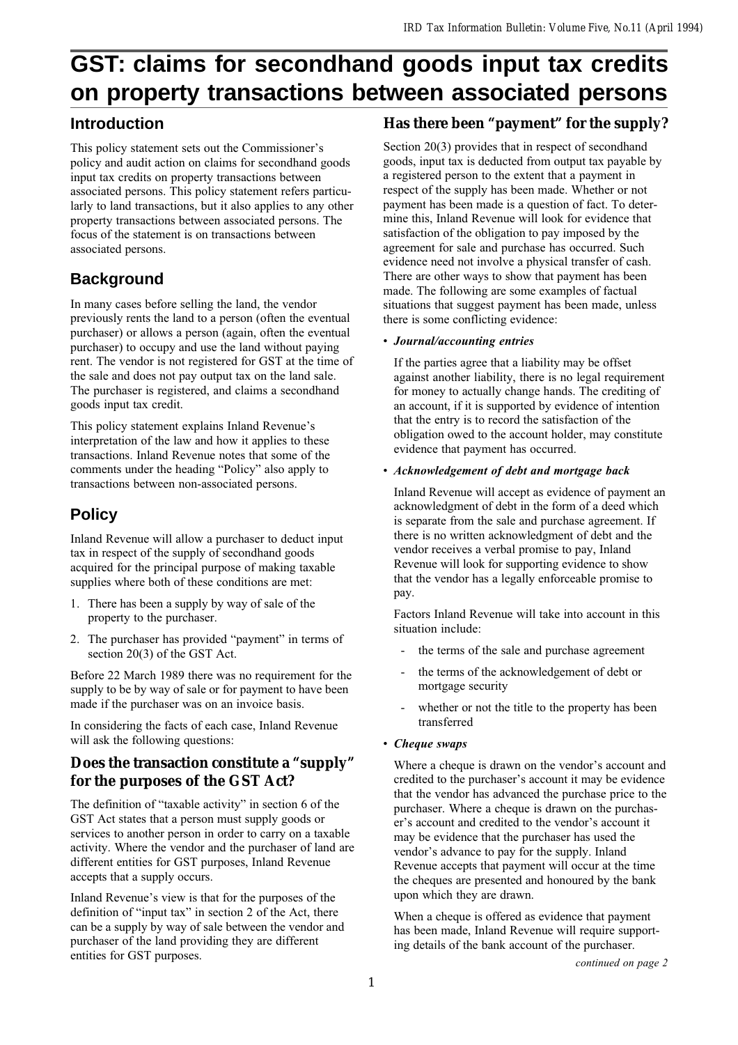# **GST: claims for secondhand goods input tax credits on property transactions between associated persons**

### **Introduction**

This policy statement sets out the Commissioner's policy and audit action on claims for secondhand goods input tax credits on property transactions between associated persons. This policy statement refers particularly to land transactions, but it also applies to any other property transactions between associated persons. The focus of the statement is on transactions between associated persons.

## **Background**

In many cases before selling the land, the vendor previously rents the land to a person (often the eventual purchaser) or allows a person (again, often the eventual purchaser) to occupy and use the land without paying rent. The vendor is not registered for GST at the time of the sale and does not pay output tax on the land sale. The purchaser is registered, and claims a secondhand goods input tax credit.

This policy statement explains Inland Revenue's interpretation of the law and how it applies to these transactions. Inland Revenue notes that some of the comments under the heading "Policy" also apply to transactions between non-associated persons.

# **Policy**

Inland Revenue will allow a purchaser to deduct input tax in respect of the supply of secondhand goods acquired for the principal purpose of making taxable supplies where both of these conditions are met:

- 1. There has been a supply by way of sale of the property to the purchaser.
- 2. The purchaser has provided "payment" in terms of section 20(3) of the GST Act.

Before 22 March 1989 there was no requirement for the supply to be by way of sale or for payment to have been made if the purchaser was on an invoice basis.

In considering the facts of each case, Inland Revenue will ask the following questions:

### **Does the transaction constitute a "supply" for the purposes of the GST Act?**

The definition of "taxable activity" in section 6 of the GST Act states that a person must supply goods or services to another person in order to carry on a taxable activity. Where the vendor and the purchaser of land are different entities for GST purposes, Inland Revenue accepts that a supply occurs.

Inland Revenue's view is that for the purposes of the definition of "input tax" in section 2 of the Act, there can be a supply by way of sale between the vendor and purchaser of the land providing they are different entities for GST purposes.

## **Has there been "payment" for the supply?**

Section 20(3) provides that in respect of secondhand goods, input tax is deducted from output tax payable by a registered person to the extent that a payment in respect of the supply has been made. Whether or not payment has been made is a question of fact. To determine this, Inland Revenue will look for evidence that satisfaction of the obligation to pay imposed by the agreement for sale and purchase has occurred. Such evidence need not involve a physical transfer of cash. There are other ways to show that payment has been made. The following are some examples of factual situations that suggest payment has been made, unless there is some conflicting evidence:

#### Journal/accounting entries

If the parties agree that a liability may be offset against another liability, there is no legal requirement for money to actually change hands. The crediting of an account, if it is supported by evidence of intention that the entry is to record the satisfaction of the obligation owed to the account holder, may constitute evidence that payment has occurred.

#### Acknowledgement of debt and mortgage back

Inland Revenue will accept as evidence of payment an acknowledgment of debt in the form of a deed which is separate from the sale and purchase agreement. If there is no written acknowledgment of debt and the vendor receives a verbal promise to pay, Inland Revenue will look for supporting evidence to show that the vendor has a legally enforceable promise to pay.

Factors Inland Revenue will take into account in this situation include:

- the terms of the sale and purchase agreement
- the terms of the acknowledgement of debt or mortgage security
- whether or not the title to the property has been transferred
- Cheque swaps

Where a cheque is drawn on the vendor's account and credited to the purchaser's account it may be evidence that the vendor has advanced the purchase price to the purchaser. Where a cheque is drawn on the purchaser's account and credited to the vendor's account it may be evidence that the purchaser has used the vendor's advance to pay for the supply. Inland Revenue accepts that payment will occur at the time the cheques are presented and honoured by the bank upon which they are drawn.

When a cheque is offered as evidence that payment has been made, Inland Revenue will require supporting details of the bank account of the purchaser.

continued on page 2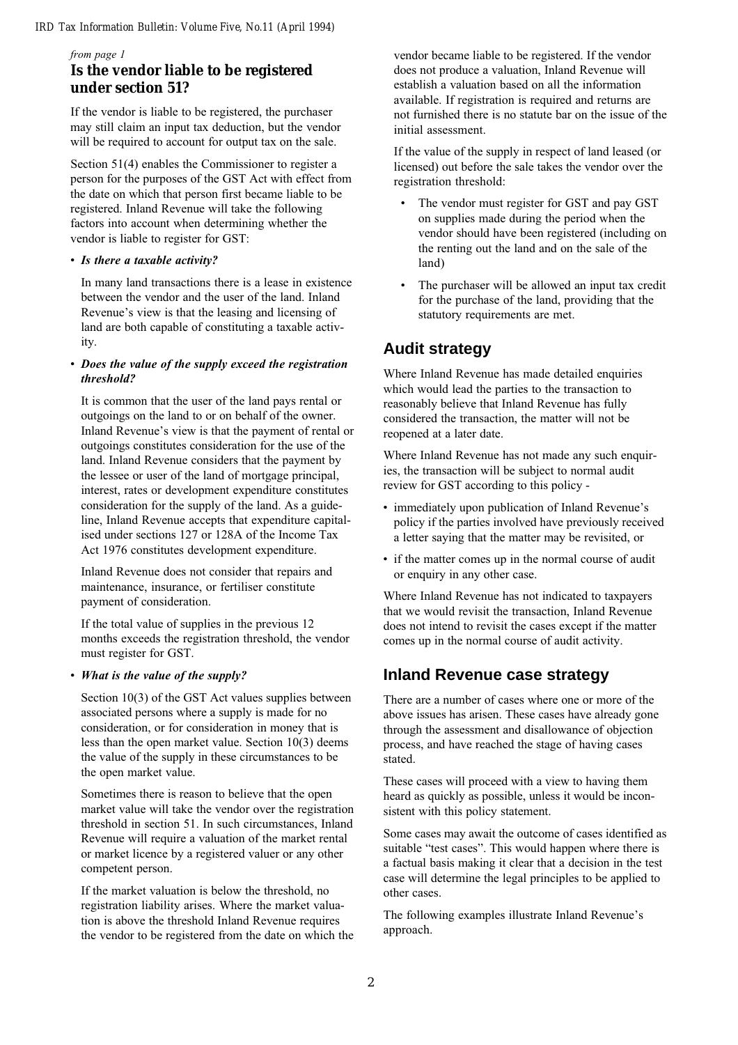#### *IRD Tax Information Bulletin: Volume Five, No.11 (April 1994)*

#### from page 1

#### **Is the vendor liable to be registered under section 51?**

If the vendor is liable to be registered, the purchaser may still claim an input tax deduction, but the vendor will be required to account for output tax on the sale.

Section 51(4) enables the Commissioner to register a person for the purposes of the GST Act with effect from the date on which that person first became liable to be registered. Inland Revenue will take the following factors into account when determining whether the vendor is liable to register for GST:

#### • Is there a taxable activity?

In many land transactions there is a lease in existence between the vendor and the user of the land. Inland Revenue's view is that the leasing and licensing of land are both capable of constituting a taxable activity.

#### Does the value of the supply exceed the registration threshold?

It is common that the user of the land pays rental or outgoings on the land to or on behalf of the owner. Inland Revenue's view is that the payment of rental or outgoings constitutes consideration for the use of the land. Inland Revenue considers that the payment by the lessee or user of the land of mortgage principal, interest, rates or development expenditure constitutes consideration for the supply of the land. As a guideline, Inland Revenue accepts that expenditure capitalised under sections 127 or 128A of the Income Tax Act 1976 constitutes development expenditure.

Inland Revenue does not consider that repairs and maintenance, insurance, or fertiliser constitute payment of consideration.

If the total value of supplies in the previous 12 months exceeds the registration threshold, the vendor must register for GST.

#### • What is the value of the supply?

Section 10(3) of the GST Act values supplies between associated persons where a supply is made for no consideration, or for consideration in money that is less than the open market value. Section 10(3) deems the value of the supply in these circumstances to be the open market value.

Sometimes there is reason to believe that the open market value will take the vendor over the registration threshold in section 51. In such circumstances, Inland Revenue will require a valuation of the market rental or market licence by a registered valuer or any other competent person.

If the market valuation is below the threshold, no registration liability arises. Where the market valuation is above the threshold Inland Revenue requires the vendor to be registered from the date on which the vendor became liable to be registered. If the vendor does not produce a valuation, Inland Revenue will establish a valuation based on all the information available. If registration is required and returns are not furnished there is no statute bar on the issue of the initial assessment.

If the value of the supply in respect of land leased (or licensed) out before the sale takes the vendor over the registration threshold:

- The vendor must register for GST and pay GST on supplies made during the period when the vendor should have been registered (including on the renting out the land and on the sale of the land)
- The purchaser will be allowed an input tax credit for the purchase of the land, providing that the statutory requirements are met.

### **Audit strategy**

Where Inland Revenue has made detailed enquiries which would lead the parties to the transaction to reasonably believe that Inland Revenue has fully considered the transaction, the matter will not be reopened at a later date.

Where Inland Revenue has not made any such enquiries, the transaction will be subject to normal audit review for GST according to this policy -

- immediately upon publication of Inland Revenue's policy if the parties involved have previously received a letter saying that the matter may be revisited, or
- if the matter comes up in the normal course of audit or enquiry in any other case.

Where Inland Revenue has not indicated to taxpayers that we would revisit the transaction, Inland Revenue does not intend to revisit the cases except if the matter comes up in the normal course of audit activity.

### **Inland Revenue case strategy**

There are a number of cases where one or more of the above issues has arisen. These cases have already gone through the assessment and disallowance of objection process, and have reached the stage of having cases stated.

These cases will proceed with a view to having them heard as quickly as possible, unless it would be inconsistent with this policy statement.

Some cases may await the outcome of cases identified as suitable "test cases". This would happen where there is a factual basis making it clear that a decision in the test case will determine the legal principles to be applied to other cases.

The following examples illustrate Inland Revenue's approach.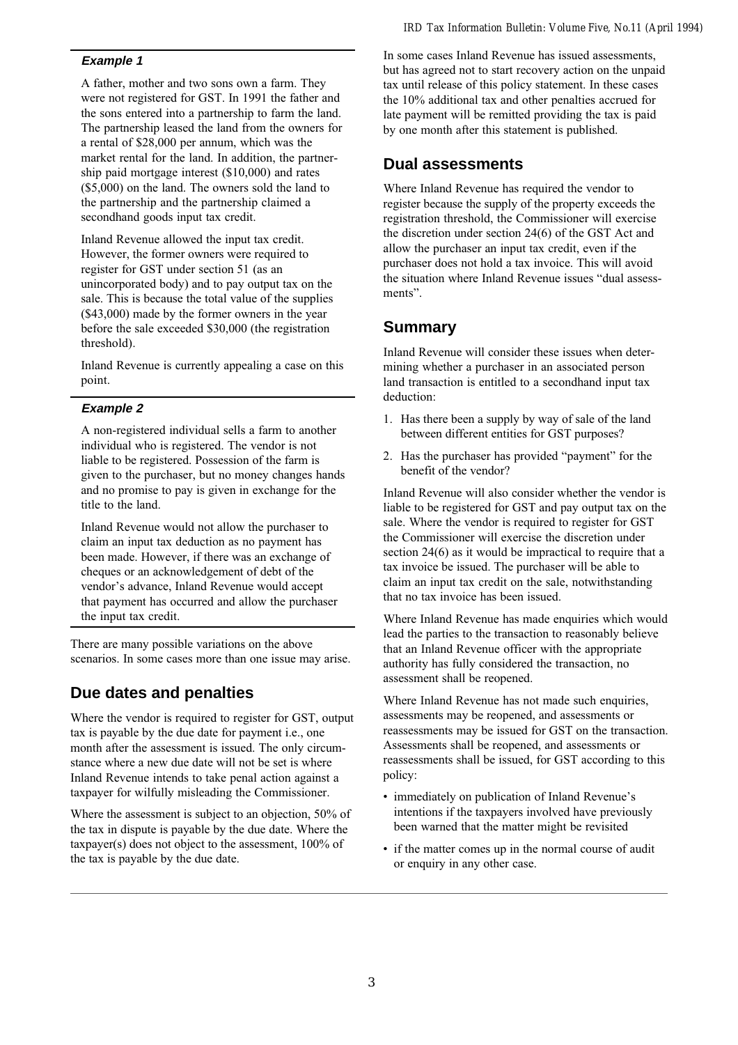#### *IRD Tax Information Bulletin: Volume Five, No.11 (April 1994)*

#### **Example 1**

A father, mother and two sons own a farm. They were not registered for GST. In 1991 the father and the sons entered into a partnership to farm the land. The partnership leased the land from the owners for a rental of \$28,000 per annum, which was the market rental for the land. In addition, the partnership paid mortgage interest (\$10,000) and rates (\$5,000) on the land. The owners sold the land to the partnership and the partnership claimed a secondhand goods input tax credit.

Inland Revenue allowed the input tax credit. However, the former owners were required to register for GST under section 51 (as an unincorporated body) and to pay output tax on the sale. This is because the total value of the supplies (\$43,000) made by the former owners in the year before the sale exceeded \$30,000 (the registration threshold).

Inland Revenue is currently appealing a case on this point.

#### **Example 2**

A non-registered individual sells a farm to another individual who is registered. The vendor is not liable to be registered. Possession of the farm is given to the purchaser, but no money changes hands and no promise to pay is given in exchange for the title to the land.

Inland Revenue would not allow the purchaser to claim an input tax deduction as no payment has been made. However, if there was an exchange of cheques or an acknowledgement of debt of the vendor's advance, Inland Revenue would accept that payment has occurred and allow the purchaser the input tax credit.

There are many possible variations on the above scenarios. In some cases more than one issue may arise.

### **Due dates and penalties**

Where the vendor is required to register for GST, output tax is payable by the due date for payment i.e., one month after the assessment is issued. The only circumstance where a new due date will not be set is where Inland Revenue intends to take penal action against a taxpayer for wilfully misleading the Commissioner.

Where the assessment is subject to an objection, 50% of the tax in dispute is payable by the due date. Where the taxpayer(s) does not object to the assessment, 100% of the tax is payable by the due date.

In some cases Inland Revenue has issued assessments, but has agreed not to start recovery action on the unpaid tax until release of this policy statement. In these cases the 10% additional tax and other penalties accrued for late payment will be remitted providing the tax is paid by one month after this statement is published.

### **Dual assessments**

Where Inland Revenue has required the vendor to register because the supply of the property exceeds the registration threshold, the Commissioner will exercise the discretion under section 24(6) of the GST Act and allow the purchaser an input tax credit, even if the purchaser does not hold a tax invoice. This will avoid the situation where Inland Revenue issues "dual assessments".

### **Summary**

Inland Revenue will consider these issues when determining whether a purchaser in an associated person land transaction is entitled to a secondhand input tax deduction:

- 1. Has there been a supply by way of sale of the land between different entities for GST purposes?
- 2. Has the purchaser has provided "payment" for the benefit of the vendor?

Inland Revenue will also consider whether the vendor is liable to be registered for GST and pay output tax on the sale. Where the vendor is required to register for GST the Commissioner will exercise the discretion under section 24(6) as it would be impractical to require that a tax invoice be issued. The purchaser will be able to claim an input tax credit on the sale, notwithstanding that no tax invoice has been issued.

Where Inland Revenue has made enquiries which would lead the parties to the transaction to reasonably believe that an Inland Revenue officer with the appropriate authority has fully considered the transaction, no assessment shall be reopened.

Where Inland Revenue has not made such enquiries, assessments may be reopened, and assessments or reassessments may be issued for GST on the transaction. Assessments shall be reopened, and assessments or reassessments shall be issued, for GST according to this policy:

- immediately on publication of Inland Revenue's intentions if the taxpayers involved have previously been warned that the matter might be revisited
- if the matter comes up in the normal course of audit or enquiry in any other case.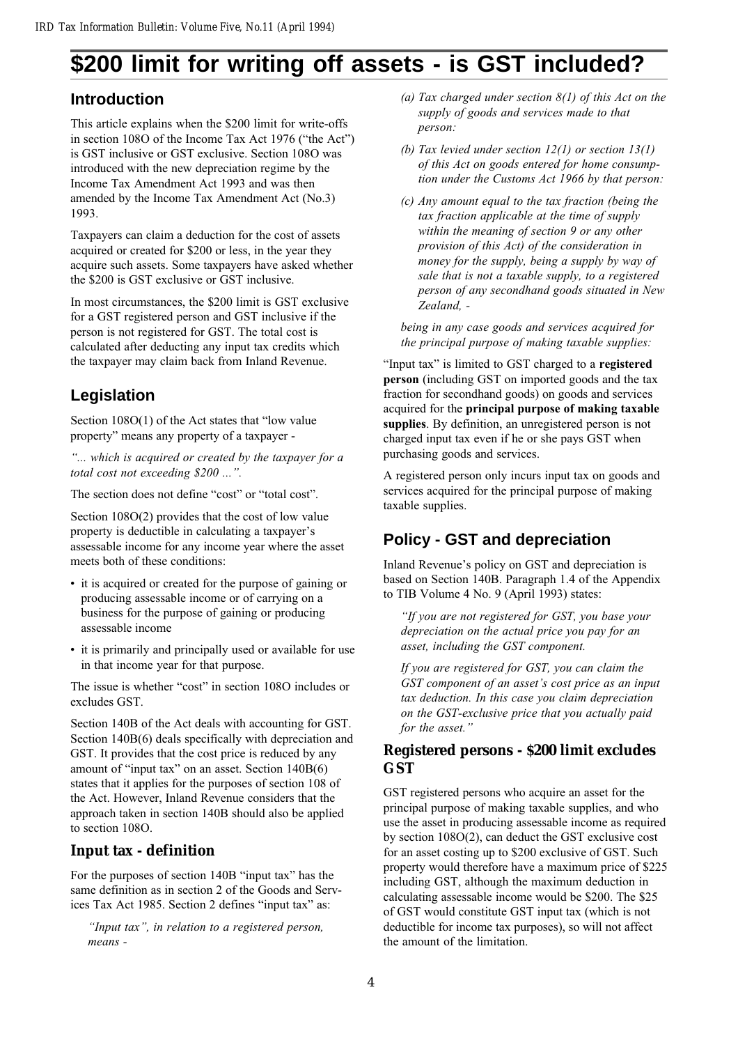# **\$200 limit for writing off assets - is GST included?**

## **Introduction**

This article explains when the \$200 limit for write-offs in section  $108O$  of the Income Tax Act  $1976$  ("the Act") is GST inclusive or GST exclusive. Section 108O was introduced with the new depreciation regime by the Income Tax Amendment Act 1993 and was then amended by the Income Tax Amendment Act (No.3) 1993.

Taxpayers can claim a deduction for the cost of assets acquired or created for \$200 or less, in the year they acquire such assets. Some taxpayers have asked whether the \$200 is GST exclusive or GST inclusive.

In most circumstances, the \$200 limit is GST exclusive for a GST registered person and GST inclusive if the person is not registered for GST. The total cost is calculated after deducting any input tax credits which the taxpayer may claim back from Inland Revenue.

# **Legislation**

Section  $108O(1)$  of the Act states that "low value" property means any property of a taxpayer -

... which is acquired or created by the taxpayer for a total cost not exceeding \$200 ...".

The section does not define "cost" or "total cost".

Section 108O(2) provides that the cost of low value property is deductible in calculating a taxpayer's assessable income for any income year where the asset meets both of these conditions:

- it is acquired or created for the purpose of gaining or producing assessable income or of carrying on a business for the purpose of gaining or producing assessable income
- it is primarily and principally used or available for use in that income year for that purpose.

The issue is whether "cost" in section 108O includes or excludes GST.

Section 140B of the Act deals with accounting for GST. Section 140B(6) deals specifically with depreciation and GST. It provides that the cost price is reduced by any amount of "input tax" on an asset. Section  $140B(6)$ states that it applies for the purposes of section 108 of the Act. However, Inland Revenue considers that the approach taken in section 140B should also be applied to section 108O.

### **Input tax - definition**

For the purposes of section 140B "input tax" has the same definition as in section 2 of the Goods and Services Tax Act 1985. Section 2 defines "input tax" as:

"Input tax", in relation to a registered person, means -

- (a) Tax charged under section  $8(1)$  of this Act on the supply of goods and services made to that person:
- (b) Tax levied under section 12(1) or section 13(1) of this Act on goods entered for home consumption under the Customs Act 1966 by that person:
- (c) Any amount equal to the tax fraction (being the tax fraction applicable at the time of supply within the meaning of section 9 or any other provision of this Act) of the consideration in money for the supply, being a supply by way of sale that is not a taxable supply, to a registered person of any secondhand goods situated in New Zealand, -

being in any case goods and services acquired for the principal purpose of making taxable supplies:

"Input tax" is limited to GST charged to a registered person (including GST on imported goods and the tax fraction for secondhand goods) on goods and services acquired for the principal purpose of making taxable supplies. By definition, an unregistered person is not charged input tax even if he or she pays GST when purchasing goods and services.

A registered person only incurs input tax on goods and services acquired for the principal purpose of making taxable supplies.

# **Policy - GST and depreciation**

Inland Revenue's policy on GST and depreciation is based on Section 140B. Paragraph 1.4 of the Appendix to TIB Volume 4 No. 9 (April 1993) states:

"If you are not registered for GST, you base your depreciation on the actual price you pay for an asset, including the GST component.

If you are registered for GST, you can claim the GST component of an asset's cost price as an input tax deduction. In this case you claim depreciation on the GST-exclusive price that you actually paid for the asset."

### **Registered persons - \$200 limit excludes GST**

GST registered persons who acquire an asset for the principal purpose of making taxable supplies, and who use the asset in producing assessable income as required by section 108O(2), can deduct the GST exclusive cost for an asset costing up to \$200 exclusive of GST. Such property would therefore have a maximum price of \$225 including GST, although the maximum deduction in calculating assessable income would be \$200. The \$25 of GST would constitute GST input tax (which is not deductible for income tax purposes), so will not affect the amount of the limitation.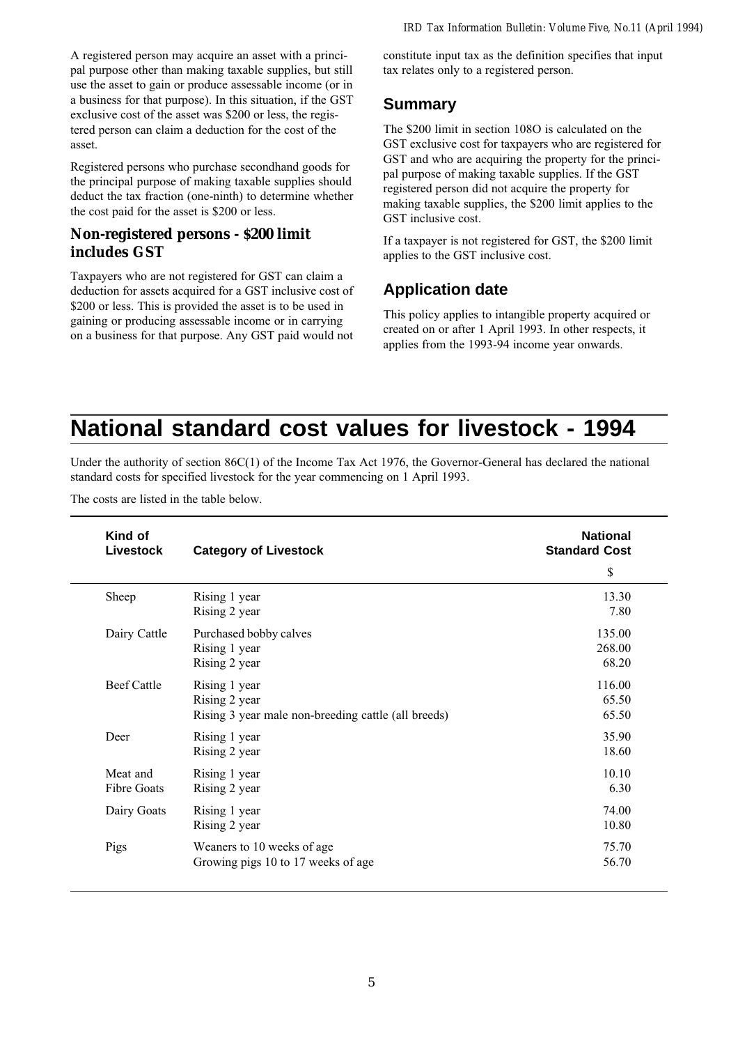A registered person may acquire an asset with a principal purpose other than making taxable supplies, but still use the asset to gain or produce assessable income (or in a business for that purpose). In this situation, if the GST exclusive cost of the asset was \$200 or less, the registered person can claim a deduction for the cost of the asset.

Registered persons who purchase secondhand goods for the principal purpose of making taxable supplies should deduct the tax fraction (one-ninth) to determine whether the cost paid for the asset is \$200 or less.

### **Non-registered persons - \$200 limit includes GST**

Taxpayers who are not registered for GST can claim a deduction for assets acquired for a GST inclusive cost of \$200 or less. This is provided the asset is to be used in gaining or producing assessable income or in carrying on a business for that purpose. Any GST paid would not

constitute input tax as the definition specifies that input tax relates only to a registered person.

### **Summary**

The \$200 limit in section 108O is calculated on the GST exclusive cost for taxpayers who are registered for GST and who are acquiring the property for the principal purpose of making taxable supplies. If the GST registered person did not acquire the property for making taxable supplies, the \$200 limit applies to the GST inclusive cost.

If a taxpayer is not registered for GST, the \$200 limit applies to the GST inclusive cost.

# **Application date**

This policy applies to intangible property acquired or created on or after 1 April 1993. In other respects, it applies from the 1993-94 income year onwards.

# **National standard cost values for livestock - 1994**

Under the authority of section 86C(1) of the Income Tax Act 1976, the Governor-General has declared the national standard costs for specified livestock for the year commencing on 1 April 1993.

The costs are listed in the table below.

| Kind of<br><b>Livestock</b> | <b>Category of Livestock</b>                        | <b>National</b><br><b>Standard Cost</b> |
|-----------------------------|-----------------------------------------------------|-----------------------------------------|
|                             |                                                     | \$                                      |
| Sheep                       | Rising 1 year                                       | 13.30                                   |
|                             | Rising 2 year                                       | 7.80                                    |
| Dairy Cattle                | Purchased bobby calves                              | 135.00                                  |
|                             | Rising 1 year                                       | 268.00                                  |
|                             | Rising 2 year                                       | 68.20                                   |
| <b>Beef Cattle</b>          | Rising 1 year                                       | 116.00                                  |
|                             | Rising 2 year                                       | 65.50                                   |
|                             | Rising 3 year male non-breeding cattle (all breeds) | 65.50                                   |
| Deer                        | Rising 1 year                                       | 35.90                                   |
|                             | Rising 2 year                                       | 18.60                                   |
| Meat and                    | Rising 1 year                                       | 10.10                                   |
| Fibre Goats                 | Rising 2 year                                       | 6.30                                    |
| Dairy Goats                 | Rising 1 year                                       | 74.00                                   |
|                             | Rising 2 year                                       | 10.80                                   |
| Pigs                        | Weaners to 10 weeks of age                          | 75.70                                   |
|                             | Growing pigs 10 to 17 weeks of age                  | 56.70                                   |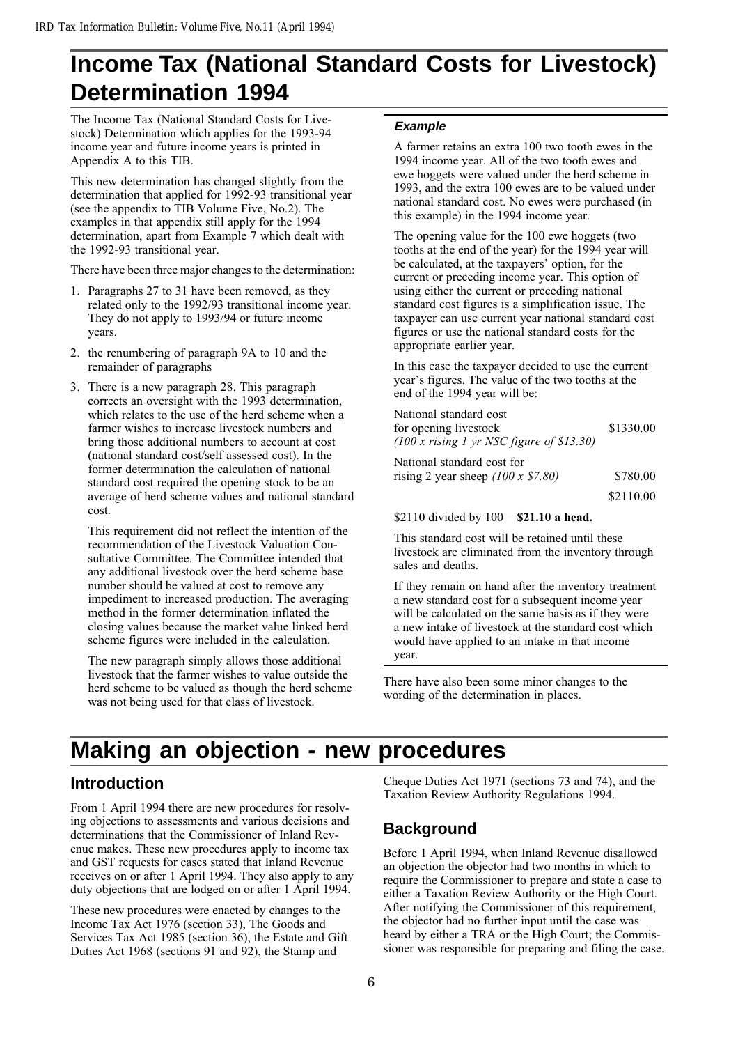# **Income Tax (National Standard Costs for Livestock) Determination 1994**

The Income Tax (National Standard Costs for Livestock) Determination which applies for the 1993-94 income year and future income years is printed in Appendix A to this TIB.

This new determination has changed slightly from the determination that applied for 1992-93 transitional year (see the appendix to TIB Volume Five, No.2). The examples in that appendix still apply for the 1994 determination, apart from Example 7 which dealt with the 1992-93 transitional year.

There have been three major changes to the determination:

- 1. Paragraphs 27 to 31 have been removed, as they related only to the 1992/93 transitional income year. They do not apply to 1993/94 or future income years.
- 2. the renumbering of paragraph 9A to 10 and the remainder of paragraphs
- 3. There is a new paragraph 28. This paragraph corrects an oversight with the 1993 determination, which relates to the use of the herd scheme when a farmer wishes to increase livestock numbers and bring those additional numbers to account at cost (national standard cost/self assessed cost). In the former determination the calculation of national standard cost required the opening stock to be an average of herd scheme values and national standard cost.

This requirement did not reflect the intention of the recommendation of the Livestock Valuation Consultative Committee. The Committee intended that any additional livestock over the herd scheme base number should be valued at cost to remove any impediment to increased production. The averaging method in the former determination inflated the closing values because the market value linked herd scheme figures were included in the calculation.

The new paragraph simply allows those additional livestock that the farmer wishes to value outside the herd scheme to be valued as though the herd scheme was not being used for that class of livestock.

#### **Example**

A farmer retains an extra 100 two tooth ewes in the 1994 income year. All of the two tooth ewes and ewe hoggets were valued under the herd scheme in 1993, and the extra 100 ewes are to be valued under national standard cost. No ewes were purchased (in this example) in the 1994 income year.

The opening value for the 100 ewe hoggets (two tooths at the end of the year) for the 1994 year will be calculated, at the taxpayers' option, for the current or preceding income year. This option of using either the current or preceding national standard cost figures is a simplification issue. The taxpayer can use current year national standard cost figures or use the national standard costs for the appropriate earlier year.

In this case the taxpayer decided to use the current year's figures. The value of the two tooths at the end of the 1994 year will be:

| National standard cost                      |           |
|---------------------------------------------|-----------|
| for opening livestock                       | \$1330.00 |
| $(100 x$ rising 1 yr NSC figure of \$13.30) |           |
|                                             |           |

National standard cost for rising 2 year sheep  $(100 \times $7.80)$  \$780.00 \$2110.00

#### \$2110 divided by  $100 = $21.10$  a head.

This standard cost will be retained until these livestock are eliminated from the inventory through sales and deaths.

If they remain on hand after the inventory treatment a new standard cost for a subsequent income year will be calculated on the same basis as if they were a new intake of livestock at the standard cost which would have applied to an intake in that income year.

There have also been some minor changes to the wording of the determination in places.

# **Making an objection - new procedures**

## **Introduction**

From 1 April 1994 there are new procedures for resolving objections to assessments and various decisions and determinations that the Commissioner of Inland Revenue makes. These new procedures apply to income tax and GST requests for cases stated that Inland Revenue receives on or after 1 April 1994. They also apply to any duty objections that are lodged on or after 1 April 1994.

These new procedures were enacted by changes to the Income Tax Act 1976 (section 33), The Goods and Services Tax Act 1985 (section 36), the Estate and Gift Duties Act 1968 (sections 91 and 92), the Stamp and

Cheque Duties Act 1971 (sections 73 and 74), and the Taxation Review Authority Regulations 1994.

### **Background**

Before 1 April 1994, when Inland Revenue disallowed an objection the objector had two months in which to require the Commissioner to prepare and state a case to either a Taxation Review Authority or the High Court. After notifying the Commissioner of this requirement, the objector had no further input until the case was heard by either a TRA or the High Court; the Commissioner was responsible for preparing and filing the case.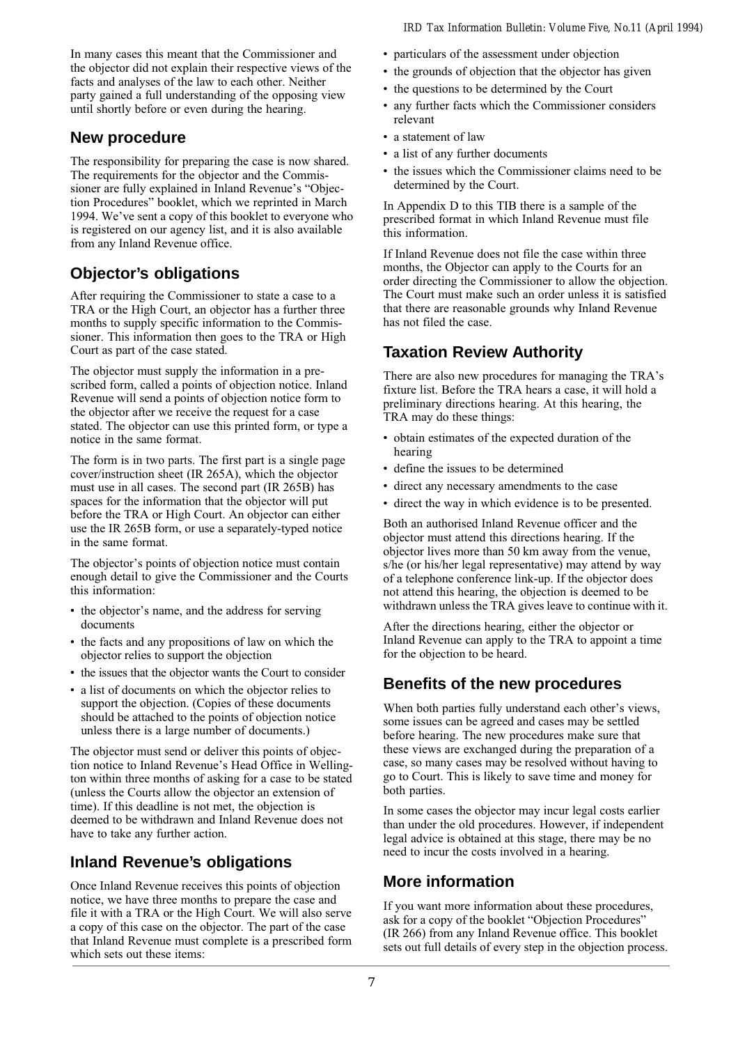In many cases this meant that the Commissioner and the objector did not explain their respective views of the facts and analyses of the law to each other. Neither party gained a full understanding of the opposing view until shortly before or even during the hearing.

### **New procedure**

The responsibility for preparing the case is now shared. The requirements for the objector and the Commissioner are fully explained in Inland Revenue's "Objection Procedures" booklet, which we reprinted in March 1994. We've sent a copy of this booklet to everyone who is registered on our agency list, and it is also available from any Inland Revenue office.

## **Objector's obligations**

After requiring the Commissioner to state a case to a TRA or the High Court, an objector has a further three months to supply specific information to the Commissioner. This information then goes to the TRA or High Court as part of the case stated.

The objector must supply the information in a prescribed form, called a points of objection notice. Inland Revenue will send a points of objection notice form to the objector after we receive the request for a case stated. The objector can use this printed form, or type a notice in the same format.

The form is in two parts. The first part is a single page cover/instruction sheet (IR 265A), which the objector must use in all cases. The second part (IR 265B) has spaces for the information that the objector will put before the TRA or High Court. An objector can either use the IR 265B form, or use a separately-typed notice in the same format.

The objector's points of objection notice must contain enough detail to give the Commissioner and the Courts this information:

- the objector's name, and the address for serving documents
- the facts and any propositions of law on which the objector relies to support the objection
- the issues that the objector wants the Court to consider
- a list of documents on which the objector relies to support the objection. (Copies of these documents should be attached to the points of objection notice unless there is a large number of documents.)

The objector must send or deliver this points of objection notice to Inland Revenue's Head Office in Wellington within three months of asking for a case to be stated (unless the Courts allow the objector an extension of time). If this deadline is not met, the objection is deemed to be withdrawn and Inland Revenue does not have to take any further action.

# **Inland Revenue's obligations**

Once Inland Revenue receives this points of objection notice, we have three months to prepare the case and file it with a TRA or the High Court. We will also serve a copy of this case on the objector. The part of the case that Inland Revenue must complete is a prescribed form which sets out these items:

- particulars of the assessment under objection
- the grounds of objection that the objector has given
- the questions to be determined by the Court
- any further facts which the Commissioner considers relevant
- a statement of law
- a list of any further documents
- the issues which the Commissioner claims need to be determined by the Court.

In Appendix D to this TIB there is a sample of the prescribed format in which Inland Revenue must file this information.

If Inland Revenue does not file the case within three months, the Objector can apply to the Courts for an order directing the Commissioner to allow the objection. The Court must make such an order unless it is satisfied that there are reasonable grounds why Inland Revenue has not filed the case.

# **Taxation Review Authority**

There are also new procedures for managing the TRA's fixture list. Before the TRA hears a case, it will hold a preliminary directions hearing. At this hearing, the TRA may do these things:

- obtain estimates of the expected duration of the hearing
- define the issues to be determined
- direct any necessary amendments to the case
- direct the way in which evidence is to be presented.

Both an authorised Inland Revenue officer and the objector must attend this directions hearing. If the objector lives more than 50 km away from the venue, s/he (or his/her legal representative) may attend by way of a telephone conference link-up. If the objector does not attend this hearing, the objection is deemed to be withdrawn unless the TRA gives leave to continue with it.

After the directions hearing, either the objector or Inland Revenue can apply to the TRA to appoint a time for the objection to be heard.

# **Benefits of the new procedures**

When both parties fully understand each other's views, some issues can be agreed and cases may be settled before hearing. The new procedures make sure that these views are exchanged during the preparation of a case, so many cases may be resolved without having to go to Court. This is likely to save time and money for both parties.

In some cases the objector may incur legal costs earlier than under the old procedures. However, if independent legal advice is obtained at this stage, there may be no need to incur the costs involved in a hearing.

# **More information**

If you want more information about these procedures, ask for a copy of the booklet "Objection Procedures" (IR 266) from any Inland Revenue office. This booklet sets out full details of every step in the objection process.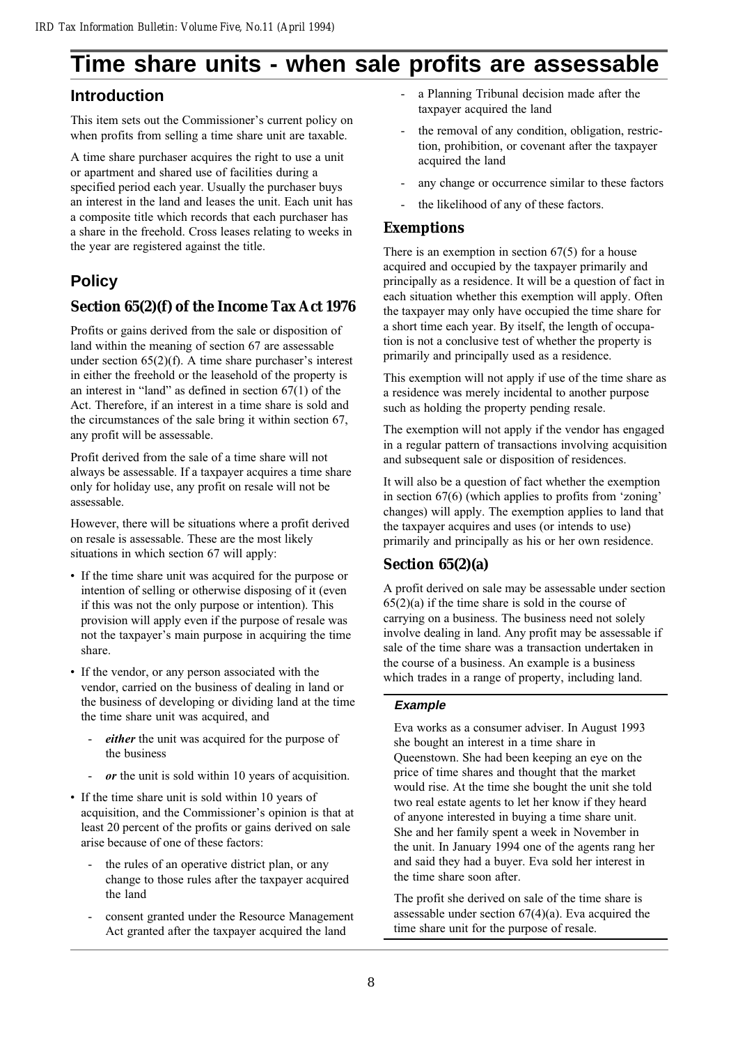# **Time share units - when sale profits are assessable**

## **Introduction**

This item sets out the Commissioner's current policy on when profits from selling a time share unit are taxable.

A time share purchaser acquires the right to use a unit or apartment and shared use of facilities during a specified period each year. Usually the purchaser buys an interest in the land and leases the unit. Each unit has a composite title which records that each purchaser has a share in the freehold. Cross leases relating to weeks in the year are registered against the title.

# **Policy**

### **Section 65(2)(f) of the Income Tax Act 1976**

Profits or gains derived from the sale or disposition of land within the meaning of section 67 are assessable under section  $65(2)(f)$ . A time share purchaser's interest in either the freehold or the leasehold of the property is an interest in "land" as defined in section  $67(1)$  of the Act. Therefore, if an interest in a time share is sold and the circumstances of the sale bring it within section 67, any profit will be assessable.

Profit derived from the sale of a time share will not always be assessable. If a taxpayer acquires a time share only for holiday use, any profit on resale will not be assessable.

However, there will be situations where a profit derived on resale is assessable. These are the most likely situations in which section 67 will apply:

- If the time share unit was acquired for the purpose or intention of selling or otherwise disposing of it (even if this was not the only purpose or intention). This provision will apply even if the purpose of resale was not the taxpayer's main purpose in acquiring the time share.
- If the vendor, or any person associated with the vendor, carried on the business of dealing in land or the business of developing or dividing land at the time the time share unit was acquired, and
	- either the unit was acquired for the purpose of the business
	- or the unit is sold within 10 years of acquisition.
- If the time share unit is sold within 10 years of acquisition, and the Commissioner's opinion is that at least 20 percent of the profits or gains derived on sale arise because of one of these factors:
	- the rules of an operative district plan, or any change to those rules after the taxpayer acquired the land
	- consent granted under the Resource Management Act granted after the taxpayer acquired the land
- a Planning Tribunal decision made after the taxpayer acquired the land
- the removal of any condition, obligation, restriction, prohibition, or covenant after the taxpayer acquired the land
- any change or occurrence similar to these factors
- the likelihood of any of these factors.

### **Exemptions**

There is an exemption in section  $67(5)$  for a house acquired and occupied by the taxpayer primarily and principally as a residence. It will be a question of fact in each situation whether this exemption will apply. Often the taxpayer may only have occupied the time share for a short time each year. By itself, the length of occupation is not a conclusive test of whether the property is primarily and principally used as a residence.

This exemption will not apply if use of the time share as a residence was merely incidental to another purpose such as holding the property pending resale.

The exemption will not apply if the vendor has engaged in a regular pattern of transactions involving acquisition and subsequent sale or disposition of residences.

It will also be a question of fact whether the exemption in section  $67(6)$  (which applies to profits from 'zoning' changes) will apply. The exemption applies to land that the taxpayer acquires and uses (or intends to use) primarily and principally as his or her own residence.

### **Section 65(2)(a)**

A profit derived on sale may be assessable under section  $65(2)(a)$  if the time share is sold in the course of carrying on a business. The business need not solely involve dealing in land. Any profit may be assessable if sale of the time share was a transaction undertaken in the course of a business. An example is a business which trades in a range of property, including land.

#### **Example**

Eva works as a consumer adviser. In August 1993 she bought an interest in a time share in Queenstown. She had been keeping an eye on the price of time shares and thought that the market would rise. At the time she bought the unit she told two real estate agents to let her know if they heard of anyone interested in buying a time share unit. She and her family spent a week in November in the unit. In January 1994 one of the agents rang her and said they had a buyer. Eva sold her interest in the time share soon after.

The profit she derived on sale of the time share is assessable under section  $67(4)(a)$ . Eva acquired the time share unit for the purpose of resale.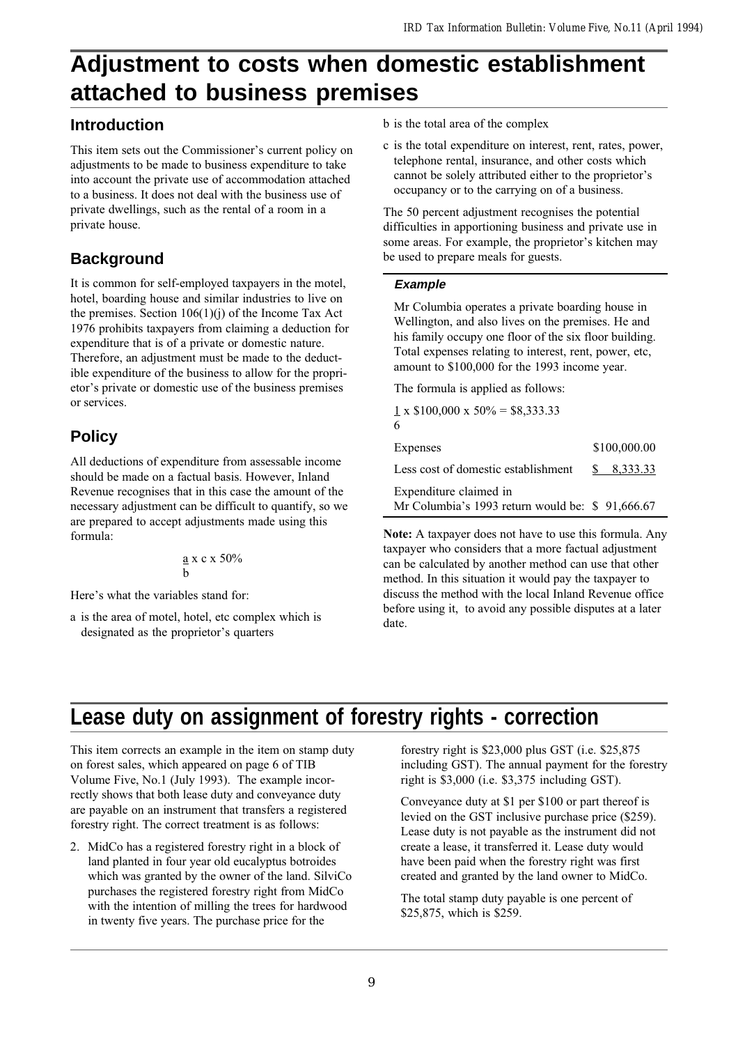# **Adjustment to costs when domestic establishment attached to business premises**

### **Introduction**

This item sets out the Commissioner's current policy on adjustments to be made to business expenditure to take into account the private use of accommodation attached to a business. It does not deal with the business use of private dwellings, such as the rental of a room in a private house.

## **Background**

It is common for self-employed taxpayers in the motel, hotel, boarding house and similar industries to live on the premises. Section  $106(1)(i)$  of the Income Tax Act 1976 prohibits taxpayers from claiming a deduction for expenditure that is of a private or domestic nature. Therefore, an adjustment must be made to the deductible expenditure of the business to allow for the proprietor's private or domestic use of the business premises or services.

# **Policy**

All deductions of expenditure from assessable income should be made on a factual basis. However, Inland Revenue recognises that in this case the amount of the necessary adjustment can be difficult to quantify, so we are prepared to accept adjustments made using this formula:

$$
\frac{a}{b} \times c \times 50\%
$$

Here's what the variables stand for:

a is the area of motel, hotel, etc complex which is designated as the proprietor's quarters

- b is the total area of the complex
- c is the total expenditure on interest, rent, rates, power, telephone rental, insurance, and other costs which cannot be solely attributed either to the proprietor's occupancy or to the carrying on of a business.

The 50 percent adjustment recognises the potential difficulties in apportioning business and private use in some areas. For example, the proprietor's kitchen may be used to prepare meals for guests.

#### **Example**

Mr Columbia operates a private boarding house in Wellington, and also lives on the premises. He and his family occupy one floor of the six floor building. Total expenses relating to interest, rent, power, etc, amount to \$100,000 for the 1993 income year.

The formula is applied as follows:

 $1 \times $100,000 \times 50\% = $8,333.33$ 6

| Expenses                                                                   | \$100,000.00 |
|----------------------------------------------------------------------------|--------------|
| Less cost of domestic establishment                                        | \$ 8.333.33  |
| Expenditure claimed in<br>Mr Columbia's 1993 return would be: $$91,666.67$ |              |

Note: A taxpayer does not have to use this formula. Any taxpayer who considers that a more factual adjustment can be calculated by another method can use that other method. In this situation it would pay the taxpayer to discuss the method with the local Inland Revenue office before using it, to avoid any possible disputes at a later date.

# **Lease duty on assignment of forestry rights - correction**

This item corrects an example in the item on stamp duty on forest sales, which appeared on page 6 of TIB Volume Five, No.1 (July 1993). The example incorrectly shows that both lease duty and conveyance duty are payable on an instrument that transfers a registered forestry right. The correct treatment is as follows:

2. MidCo has a registered forestry right in a block of land planted in four year old eucalyptus botroides which was granted by the owner of the land. SilviCo purchases the registered forestry right from MidCo with the intention of milling the trees for hardwood in twenty five years. The purchase price for the

forestry right is \$23,000 plus GST (i.e. \$25,875 including GST). The annual payment for the forestry right is \$3,000 (i.e. \$3,375 including GST).

Conveyance duty at \$1 per \$100 or part thereof is levied on the GST inclusive purchase price (\$259). Lease duty is not payable as the instrument did not create a lease, it transferred it. Lease duty would have been paid when the forestry right was first created and granted by the land owner to MidCo.

The total stamp duty payable is one percent of \$25,875, which is \$259.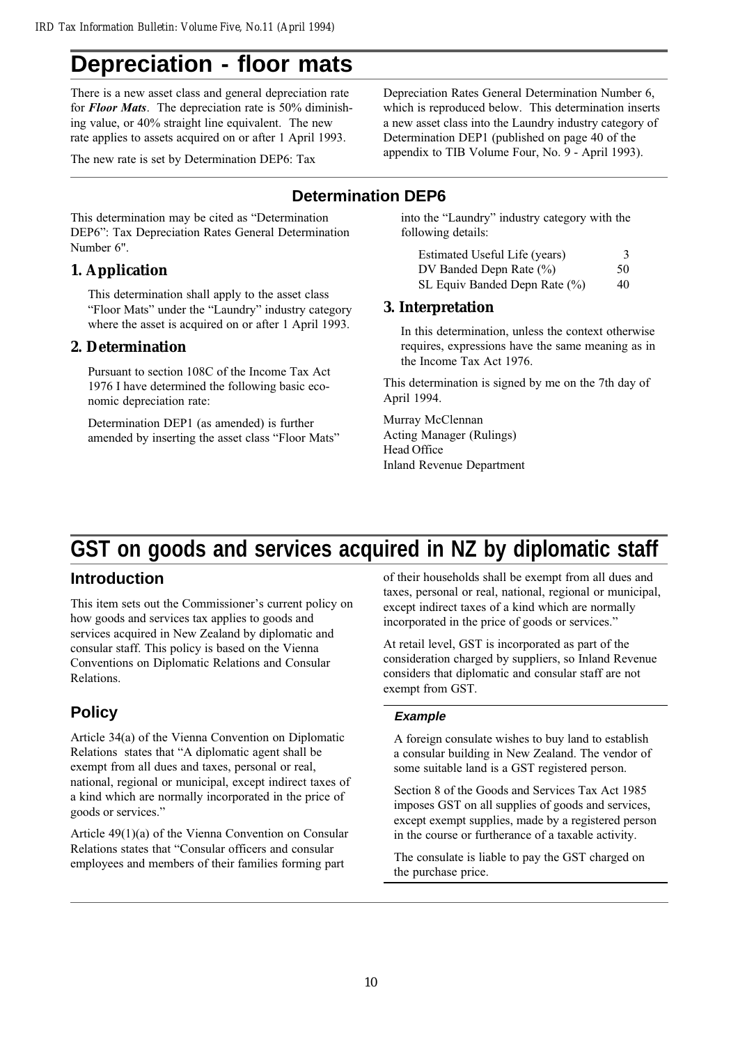# **Depreciation - floor mats**

There is a new asset class and general depreciation rate for Floor Mats. The depreciation rate is 50% diminishing value, or 40% straight line equivalent. The new rate applies to assets acquired on or after 1 April 1993.

The new rate is set by Determination DEP6: Tax

This determination may be cited as "Determination DEP6": Tax Depreciation Rates General Determination Number 6".

### **1. Application**

This determination shall apply to the asset class "Floor Mats" under the "Laundry" industry category where the asset is acquired on or after 1 April 1993.

#### **2. Determination**

Pursuant to section 108C of the Income Tax Act 1976 I have determined the following basic economic depreciation rate:

Determination DEP1 (as amended) is further amended by inserting the asset class "Floor Mats" Depreciation Rates General Determination Number 6, which is reproduced below. This determination inserts a new asset class into the Laundry industry category of Determination DEP1 (published on page 40 of the appendix to TIB Volume Four, No. 9 - April 1993).

## **Determination DEP6**

into the "Laundry" industry category with the following details:

| Estimated Useful Life (years) | 3  |
|-------------------------------|----|
| DV Banded Depn Rate $(\% )$   | 50 |
| SL Equiv Banded Depn Rate (%) | 40 |

#### **3. Interpretation**

In this determination, unless the context otherwise requires, expressions have the same meaning as in the Income Tax Act 1976.

This determination is signed by me on the 7th day of April 1994.

Murray McClennan Acting Manager (Rulings) Head Office Inland Revenue Department

# **GST on goods and services acquired in NZ by diplomatic staff**

## **Introduction**

This item sets out the Commissioner's current policy on how goods and services tax applies to goods and services acquired in New Zealand by diplomatic and consular staff. This policy is based on the Vienna Conventions on Diplomatic Relations and Consular Relations.

# **Policy**

Article 34(a) of the Vienna Convention on Diplomatic Relations states that "A diplomatic agent shall be exempt from all dues and taxes, personal or real, national, regional or municipal, except indirect taxes of a kind which are normally incorporated in the price of goods or services.

Article 49(1)(a) of the Vienna Convention on Consular Relations states that "Consular officers and consular employees and members of their families forming part

of their households shall be exempt from all dues and taxes, personal or real, national, regional or municipal, except indirect taxes of a kind which are normally incorporated in the price of goods or services.

At retail level, GST is incorporated as part of the consideration charged by suppliers, so Inland Revenue considers that diplomatic and consular staff are not exempt from GST.

#### **Example**

A foreign consulate wishes to buy land to establish a consular building in New Zealand. The vendor of some suitable land is a GST registered person.

Section 8 of the Goods and Services Tax Act 1985 imposes GST on all supplies of goods and services, except exempt supplies, made by a registered person in the course or furtherance of a taxable activity.

The consulate is liable to pay the GST charged on the purchase price.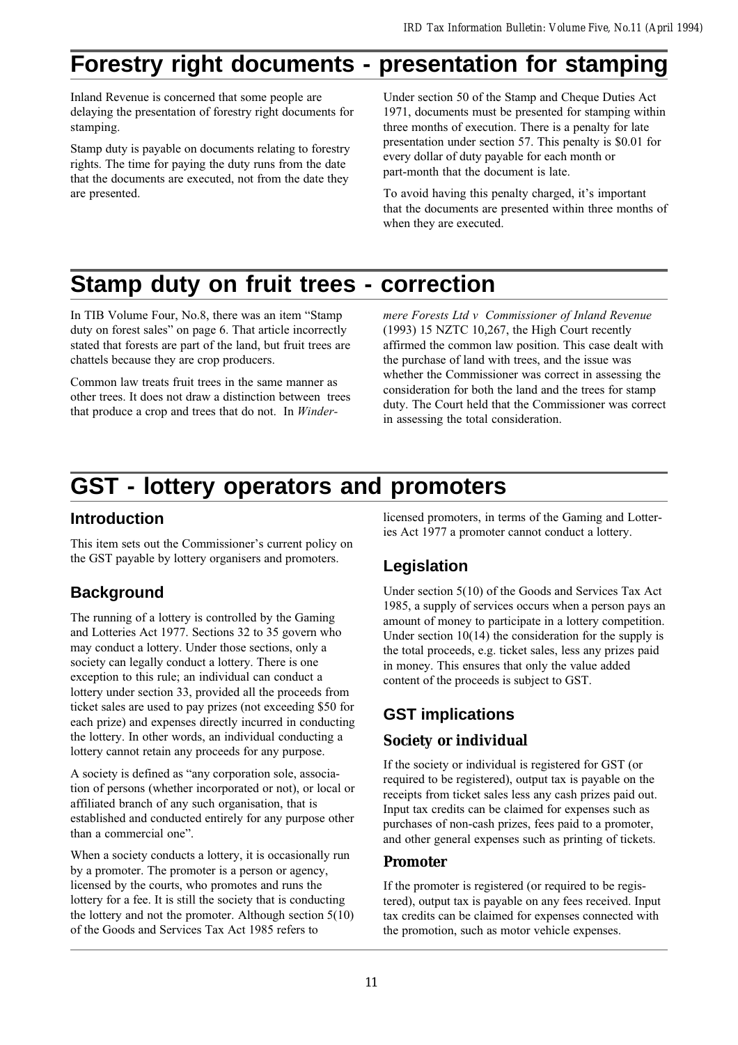# **Forestry right documents - presentation for stamping**

Inland Revenue is concerned that some people are delaying the presentation of forestry right documents for stamping.

Stamp duty is payable on documents relating to forestry rights. The time for paying the duty runs from the date that the documents are executed, not from the date they are presented.

Under section 50 of the Stamp and Cheque Duties Act 1971, documents must be presented for stamping within three months of execution. There is a penalty for late presentation under section 57. This penalty is \$0.01 for every dollar of duty payable for each month or part-month that the document is late.

To avoid having this penalty charged, it's important that the documents are presented within three months of when they are executed.

# **Stamp duty on fruit trees - correction**

In TIB Volume Four, No.8, there was an item "Stamp" duty on forest sales" on page 6. That article incorrectly stated that forests are part of the land, but fruit trees are chattels because they are crop producers.

Common law treats fruit trees in the same manner as other trees. It does not draw a distinction between trees that produce a crop and trees that do not. In Windermere Forests Ltd v Commissioner of Inland Revenue (1993) 15 NZTC 10,267, the High Court recently affirmed the common law position. This case dealt with the purchase of land with trees, and the issue was whether the Commissioner was correct in assessing the consideration for both the land and the trees for stamp duty. The Court held that the Commissioner was correct in assessing the total consideration.

# **GST - lottery operators and promoters**

### **Introduction**

This item sets out the Commissioner's current policy on the GST payable by lottery organisers and promoters.

# **Background**

The running of a lottery is controlled by the Gaming and Lotteries Act 1977. Sections 32 to 35 govern who may conduct a lottery. Under those sections, only a society can legally conduct a lottery. There is one exception to this rule; an individual can conduct a lottery under section 33, provided all the proceeds from ticket sales are used to pay prizes (not exceeding \$50 for each prize) and expenses directly incurred in conducting the lottery. In other words, an individual conducting a lottery cannot retain any proceeds for any purpose.

A society is defined as "any corporation sole, association of persons (whether incorporated or not), or local or affiliated branch of any such organisation, that is established and conducted entirely for any purpose other than a commercial one".

When a society conducts a lottery, it is occasionally run by a promoter. The promoter is a person or agency, licensed by the courts, who promotes and runs the lottery for a fee. It is still the society that is conducting the lottery and not the promoter. Although section 5(10) of the Goods and Services Tax Act 1985 refers to

licensed promoters, in terms of the Gaming and Lotteries Act 1977 a promoter cannot conduct a lottery.

# **Legislation**

Under section 5(10) of the Goods and Services Tax Act 1985, a supply of services occurs when a person pays an amount of money to participate in a lottery competition. Under section  $10(14)$  the consideration for the supply is the total proceeds, e.g. ticket sales, less any prizes paid in money. This ensures that only the value added content of the proceeds is subject to GST.

# **GST implications**

### **Society or individual**

If the society or individual is registered for GST (or required to be registered), output tax is payable on the receipts from ticket sales less any cash prizes paid out. Input tax credits can be claimed for expenses such as purchases of non-cash prizes, fees paid to a promoter, and other general expenses such as printing of tickets.

### **Promoter**

If the promoter is registered (or required to be registered), output tax is payable on any fees received. Input tax credits can be claimed for expenses connected with the promotion, such as motor vehicle expenses.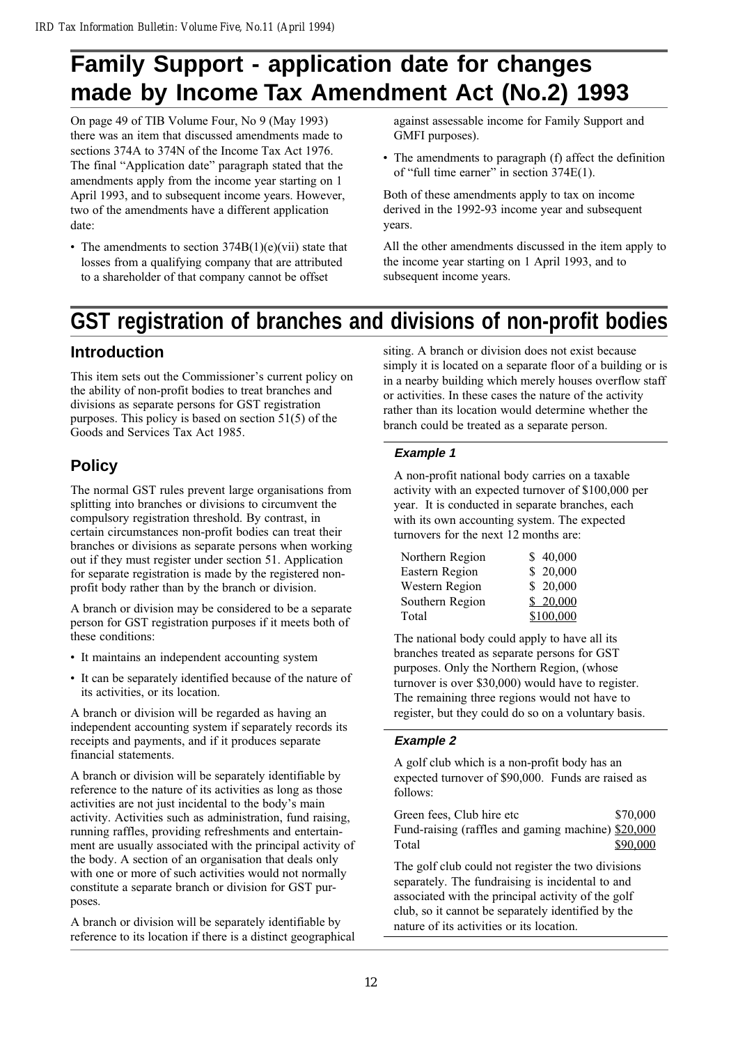# **Family Support - application date for changes made by Income Tax Amendment Act (No.2) 1993**

On page 49 of TIB Volume Four, No 9 (May 1993) there was an item that discussed amendments made to sections 374A to 374N of the Income Tax Act 1976. The final "Application date" paragraph stated that the amendments apply from the income year starting on 1 April 1993, and to subsequent income years. However, two of the amendments have a different application date:

• The amendments to section  $374B(1)(e)(vi)$  state that losses from a qualifying company that are attributed to a shareholder of that company cannot be offset

against assessable income for Family Support and GMFI purposes).

 The amendments to paragraph (f) affect the definition of "full time earner" in section  $374E(1)$ .

Both of these amendments apply to tax on income derived in the 1992-93 income year and subsequent years.

All the other amendments discussed in the item apply to the income year starting on 1 April 1993, and to subsequent income years.

# **GST registration of branches and divisions of non-profit bodies**

## **Introduction**

This item sets out the Commissioner's current policy on the ability of non-profit bodies to treat branches and divisions as separate persons for GST registration purposes. This policy is based on section 51(5) of the Goods and Services Tax Act 1985.

# **Policy**

The normal GST rules prevent large organisations from splitting into branches or divisions to circumvent the compulsory registration threshold. By contrast, in certain circumstances non-profit bodies can treat their branches or divisions as separate persons when working out if they must register under section 51. Application for separate registration is made by the registered nonprofit body rather than by the branch or division.

A branch or division may be considered to be a separate person for GST registration purposes if it meets both of these conditions:

- It maintains an independent accounting system
- It can be separately identified because of the nature of its activities, or its location.

A branch or division will be regarded as having an independent accounting system if separately records its receipts and payments, and if it produces separate financial statements.

A branch or division will be separately identifiable by reference to the nature of its activities as long as those activities are not just incidental to the body's main activity. Activities such as administration, fund raising, running raffles, providing refreshments and entertainment are usually associated with the principal activity of the body. A section of an organisation that deals only with one or more of such activities would not normally constitute a separate branch or division for GST purposes.

A branch or division will be separately identifiable by reference to its location if there is a distinct geographical siting. A branch or division does not exist because simply it is located on a separate floor of a building or is in a nearby building which merely houses overflow staff or activities. In these cases the nature of the activity rather than its location would determine whether the branch could be treated as a separate person.

#### **Example 1**

A non-profit national body carries on a taxable activity with an expected turnover of \$100,000 per year. It is conducted in separate branches, each with its own accounting system. The expected turnovers for the next 12 months are:

| Northern Region | \$40,000  |
|-----------------|-----------|
| Eastern Region  | \$20,000  |
| Western Region  | \$20,000  |
| Southern Region | \$20,000  |
| Total           | \$100,000 |

The national body could apply to have all its branches treated as separate persons for GST purposes. Only the Northern Region, (whose turnover is over \$30,000) would have to register. The remaining three regions would not have to register, but they could do so on a voluntary basis.

#### **Example 2**

A golf club which is a non-profit body has an expected turnover of \$90,000. Funds are raised as follows:

Green fees, Club hire etc  $$70,000$ Fund-raising (raffles and gaming machine) \$20,000 Total \$90,000

The golf club could not register the two divisions separately. The fundraising is incidental to and associated with the principal activity of the golf club, so it cannot be separately identified by the nature of its activities or its location.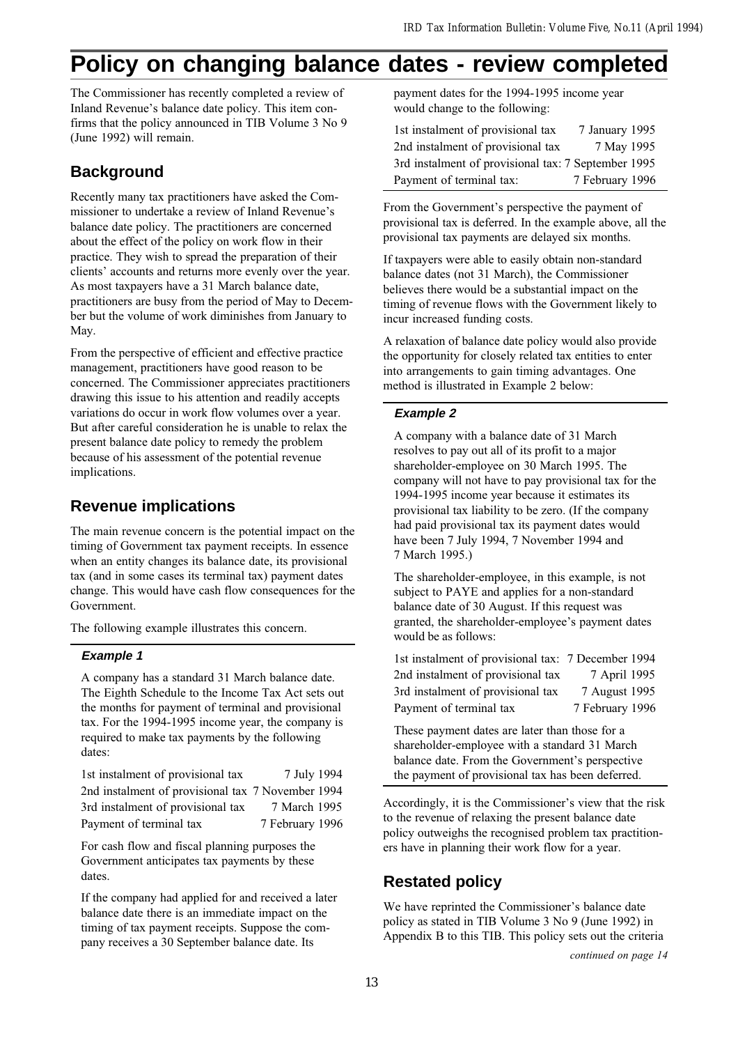# **Policy on changing balance dates - review completed**

The Commissioner has recently completed a review of Inland Revenue's balance date policy. This item confirms that the policy announced in TIB Volume 3 No 9 (June 1992) will remain.

## **Background**

Recently many tax practitioners have asked the Commissioner to undertake a review of Inland Revenue's balance date policy. The practitioners are concerned about the effect of the policy on work flow in their practice. They wish to spread the preparation of their clients' accounts and returns more evenly over the year. As most taxpayers have a 31 March balance date, practitioners are busy from the period of May to December but the volume of work diminishes from January to May.

From the perspective of efficient and effective practice management, practitioners have good reason to be concerned. The Commissioner appreciates practitioners drawing this issue to his attention and readily accepts variations do occur in work flow volumes over a year. But after careful consideration he is unable to relax the present balance date policy to remedy the problem because of his assessment of the potential revenue implications.

## **Revenue implications**

The main revenue concern is the potential impact on the timing of Government tax payment receipts. In essence when an entity changes its balance date, its provisional tax (and in some cases its terminal tax) payment dates change. This would have cash flow consequences for the Government.

The following example illustrates this concern.

#### **Example 1**

A company has a standard 31 March balance date. The Eighth Schedule to the Income Tax Act sets out the months for payment of terminal and provisional tax. For the 1994-1995 income year, the company is required to make tax payments by the following dates:

1st instalment of provisional tax  $\frac{7 \text{ July } 1994}{2}$ 2nd instalment of provisional tax 7 November 1994 3rd instalment of provisional tax 7 March 1995 Payment of terminal tax 7 February 1996

For cash flow and fiscal planning purposes the Government anticipates tax payments by these dates.

If the company had applied for and received a later balance date there is an immediate impact on the timing of tax payment receipts. Suppose the company receives a 30 September balance date. Its

payment dates for the 1994-1995 income year would change to the following:

| 1st instalment of provisional tax                   | 7 January 1995  |
|-----------------------------------------------------|-----------------|
| 2nd instalment of provisional tax                   | 7 May 1995      |
| 3rd instalment of provisional tax: 7 September 1995 |                 |
| Payment of terminal tax:                            | 7 February 1996 |

From the Government's perspective the payment of provisional tax is deferred. In the example above, all the provisional tax payments are delayed six months.

If taxpayers were able to easily obtain non-standard balance dates (not 31 March), the Commissioner believes there would be a substantial impact on the timing of revenue flows with the Government likely to incur increased funding costs.

A relaxation of balance date policy would also provide the opportunity for closely related tax entities to enter into arrangements to gain timing advantages. One method is illustrated in Example 2 below:

#### **Example 2**

A company with a balance date of 31 March resolves to pay out all of its profit to a major shareholder-employee on 30 March 1995. The company will not have to pay provisional tax for the 1994-1995 income year because it estimates its provisional tax liability to be zero. (If the company had paid provisional tax its payment dates would have been 7 July 1994, 7 November 1994 and 7 March 1995.)

The shareholder-employee, in this example, is not subject to PAYE and applies for a non-standard balance date of 30 August. If this request was granted, the shareholder-employee's payment dates would be as follows:

| 1st instalment of provisional tax: 7 December 1994 |                 |
|----------------------------------------------------|-----------------|
| 2nd instalment of provisional tax                  | 7 April 1995    |
| 3rd instalment of provisional tax                  | 7 August 1995   |
| Payment of terminal tax                            | 7 February 1996 |

These payment dates are later than those for a shareholder-employee with a standard 31 March balance date. From the Government's perspective the payment of provisional tax has been deferred.

Accordingly, it is the Commissioner's view that the risk to the revenue of relaxing the present balance date policy outweighs the recognised problem tax practitioners have in planning their work flow for a year.

# **Restated policy**

We have reprinted the Commissioner's balance date policy as stated in TIB Volume 3 No 9 (June 1992) in Appendix B to this TIB. This policy sets out the criteria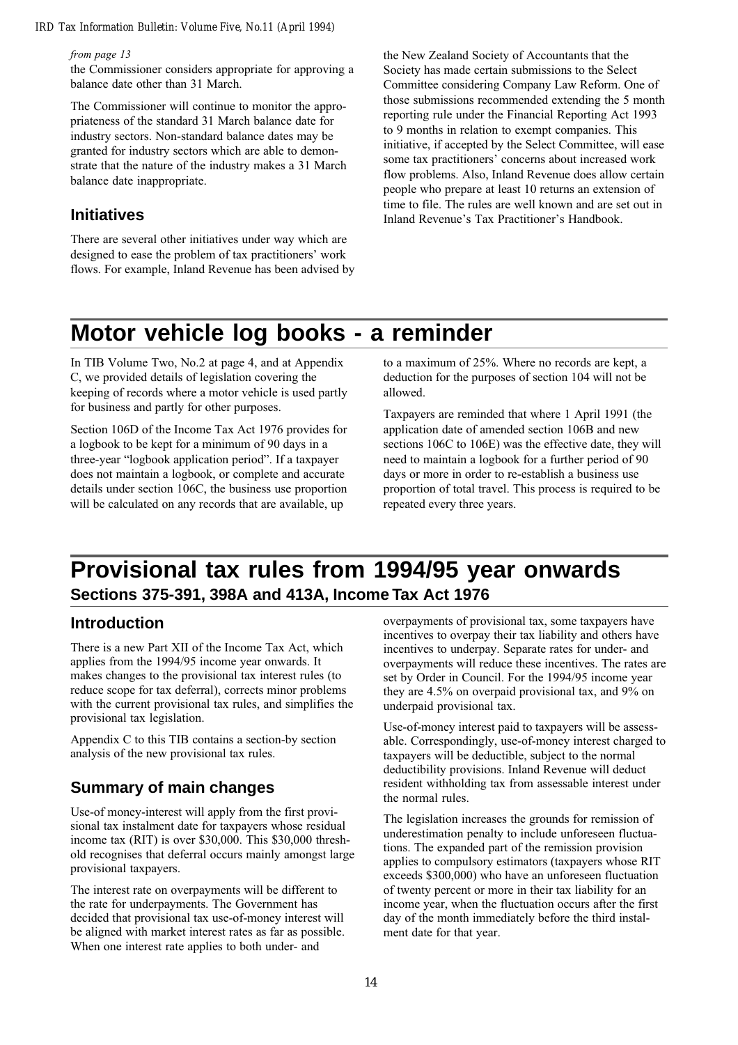#### *IRD Tax Information Bulletin: Volume Five, No.11 (April 1994)*

#### from page 13

the Commissioner considers appropriate for approving a balance date other than 31 March.

The Commissioner will continue to monitor the appropriateness of the standard 31 March balance date for industry sectors. Non-standard balance dates may be granted for industry sectors which are able to demonstrate that the nature of the industry makes a 31 March balance date inappropriate.

#### **Initiatives**

There are several other initiatives under way which are designed to ease the problem of tax practitioners' work flows. For example, Inland Revenue has been advised by

the New Zealand Society of Accountants that the Society has made certain submissions to the Select Committee considering Company Law Reform. One of those submissions recommended extending the 5 month reporting rule under the Financial Reporting Act 1993 to 9 months in relation to exempt companies. This initiative, if accepted by the Select Committee, will ease some tax practitioners' concerns about increased work flow problems. Also, Inland Revenue does allow certain people who prepare at least 10 returns an extension of time to file. The rules are well known and are set out in Inland Revenue's Tax Practitioner's Handbook.

# **Motor vehicle log books - a reminder**

In TIB Volume Two, No.2 at page 4, and at Appendix C, we provided details of legislation covering the keeping of records where a motor vehicle is used partly for business and partly for other purposes.

Section 106D of the Income Tax Act 1976 provides for a logbook to be kept for a minimum of 90 days in a three-year "logbook application period". If a taxpayer does not maintain a logbook, or complete and accurate details under section 106C, the business use proportion will be calculated on any records that are available, up

to a maximum of 25%. Where no records are kept, a deduction for the purposes of section 104 will not be allowed.

Taxpayers are reminded that where 1 April 1991 (the application date of amended section 106B and new sections 106C to 106E) was the effective date, they will need to maintain a logbook for a further period of 90 days or more in order to re-establish a business use proportion of total travel. This process is required to be repeated every three years.

# **Provisional tax rules from 1994/95 year onwards Sections 375-391, 398A and 413A, Income Tax Act 1976**

#### **Introduction**

There is a new Part XII of the Income Tax Act, which applies from the 1994/95 income year onwards. It makes changes to the provisional tax interest rules (to reduce scope for tax deferral), corrects minor problems with the current provisional tax rules, and simplifies the provisional tax legislation.

Appendix C to this TIB contains a section-by section analysis of the new provisional tax rules.

#### **Summary of main changes**

Use-of money-interest will apply from the first provisional tax instalment date for taxpayers whose residual income tax (RIT) is over \$30,000. This \$30,000 threshold recognises that deferral occurs mainly amongst large provisional taxpayers.

The interest rate on overpayments will be different to the rate for underpayments. The Government has decided that provisional tax use-of-money interest will be aligned with market interest rates as far as possible. When one interest rate applies to both under- and

overpayments of provisional tax, some taxpayers have incentives to overpay their tax liability and others have incentives to underpay. Separate rates for under- and overpayments will reduce these incentives. The rates are set by Order in Council. For the 1994/95 income year they are 4.5% on overpaid provisional tax, and 9% on underpaid provisional tax.

Use-of-money interest paid to taxpayers will be assessable. Correspondingly, use-of-money interest charged to taxpayers will be deductible, subject to the normal deductibility provisions. Inland Revenue will deduct resident withholding tax from assessable interest under the normal rules.

The legislation increases the grounds for remission of underestimation penalty to include unforeseen fluctuations. The expanded part of the remission provision applies to compulsory estimators (taxpayers whose RIT exceeds \$300,000) who have an unforeseen fluctuation of twenty percent or more in their tax liability for an income year, when the fluctuation occurs after the first day of the month immediately before the third instalment date for that year.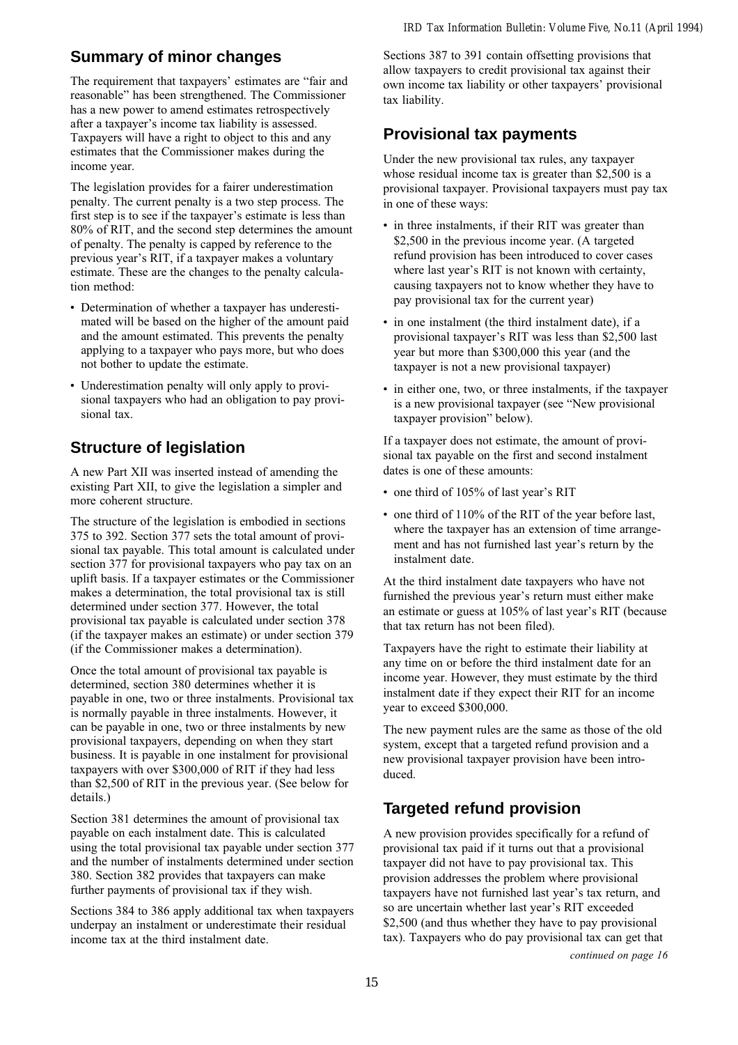# **Summary of minor changes**

The requirement that taxpayers' estimates are "fair and reasonable" has been strengthened. The Commissioner has a new power to amend estimates retrospectively after a taxpayer's income tax liability is assessed. Taxpayers will have a right to object to this and any estimates that the Commissioner makes during the income year.

The legislation provides for a fairer underestimation penalty. The current penalty is a two step process. The first step is to see if the taxpayer's estimate is less than 80% of RIT, and the second step determines the amount of penalty. The penalty is capped by reference to the previous year's RIT, if a taxpayer makes a voluntary estimate. These are the changes to the penalty calculation method:

- Determination of whether a taxpayer has underestimated will be based on the higher of the amount paid and the amount estimated. This prevents the penalty applying to a taxpayer who pays more, but who does not bother to update the estimate.
- Underestimation penalty will only apply to provisional taxpayers who had an obligation to pay provisional tax.

## **Structure of legislation**

A new Part XII was inserted instead of amending the existing Part XII, to give the legislation a simpler and more coherent structure.

The structure of the legislation is embodied in sections 375 to 392. Section 377 sets the total amount of provisional tax payable. This total amount is calculated under section 377 for provisional taxpayers who pay tax on an uplift basis. If a taxpayer estimates or the Commissioner makes a determination, the total provisional tax is still determined under section 377. However, the total provisional tax payable is calculated under section 378 (if the taxpayer makes an estimate) or under section 379 (if the Commissioner makes a determination).

Once the total amount of provisional tax payable is determined, section 380 determines whether it is payable in one, two or three instalments. Provisional tax is normally payable in three instalments. However, it can be payable in one, two or three instalments by new provisional taxpayers, depending on when they start business. It is payable in one instalment for provisional taxpayers with over \$300,000 of RIT if they had less than \$2,500 of RIT in the previous year. (See below for details.)

Section 381 determines the amount of provisional tax payable on each instalment date. This is calculated using the total provisional tax payable under section 377 and the number of instalments determined under section 380. Section 382 provides that taxpayers can make further payments of provisional tax if they wish.

Sections 384 to 386 apply additional tax when taxpayers underpay an instalment or underestimate their residual income tax at the third instalment date.

Sections 387 to 391 contain offsetting provisions that allow taxpayers to credit provisional tax against their own income tax liability or other taxpayers' provisional tax liability.

## **Provisional tax payments**

Under the new provisional tax rules, any taxpayer whose residual income tax is greater than \$2,500 is a provisional taxpayer. Provisional taxpayers must pay tax in one of these ways:

- in three instalments, if their RIT was greater than \$2,500 in the previous income year. (A targeted refund provision has been introduced to cover cases where last year's RIT is not known with certainty, causing taxpayers not to know whether they have to pay provisional tax for the current year)
- in one instalment (the third instalment date), if a provisional taxpayer's RIT was less than \$2,500 last year but more than \$300,000 this year (and the taxpayer is not a new provisional taxpayer)
- in either one, two, or three instalments, if the taxpayer is a new provisional taxpayer (see "New provisional taxpayer provision" below).

If a taxpayer does not estimate, the amount of provisional tax payable on the first and second instalment dates is one of these amounts:

- one third of 105% of last year's RIT
- one third of 110% of the RIT of the year before last, where the taxpayer has an extension of time arrangement and has not furnished last year's return by the instalment date.

At the third instalment date taxpayers who have not furnished the previous year's return must either make an estimate or guess at  $105\%$  of last year's RIT (because that tax return has not been filed).

Taxpayers have the right to estimate their liability at any time on or before the third instalment date for an income year. However, they must estimate by the third instalment date if they expect their RIT for an income year to exceed \$300,000.

The new payment rules are the same as those of the old system, except that a targeted refund provision and a new provisional taxpayer provision have been introduced.

# **Targeted refund provision**

A new provision provides specifically for a refund of provisional tax paid if it turns out that a provisional taxpayer did not have to pay provisional tax. This provision addresses the problem where provisional taxpayers have not furnished last year's tax return, and so are uncertain whether last year's RIT exceeded \$2,500 (and thus whether they have to pay provisional tax). Taxpayers who do pay provisional tax can get that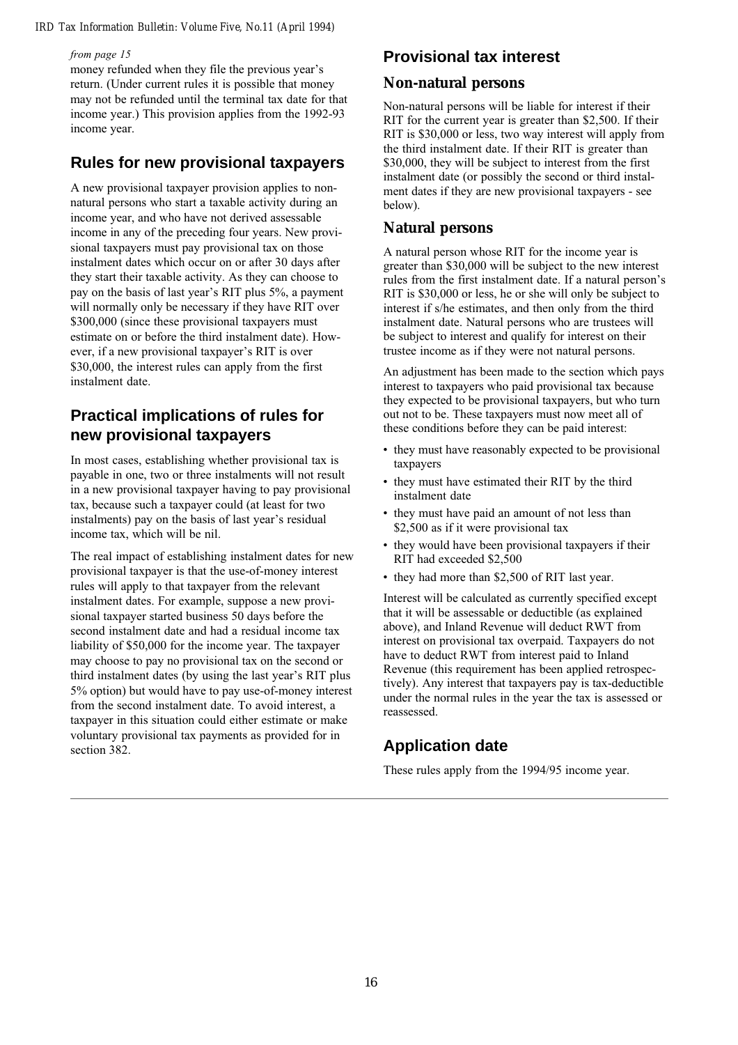#### *IRD Tax Information Bulletin: Volume Five, No.11 (April 1994)*

#### from page 15

money refunded when they file the previous year's return. (Under current rules it is possible that money may not be refunded until the terminal tax date for that income year.) This provision applies from the 1992-93 income year.

### **Rules for new provisional taxpayers**

A new provisional taxpayer provision applies to nonnatural persons who start a taxable activity during an income year, and who have not derived assessable income in any of the preceding four years. New provisional taxpayers must pay provisional tax on those instalment dates which occur on or after 30 days after they start their taxable activity. As they can choose to pay on the basis of last year's RIT plus  $5\%$ , a payment will normally only be necessary if they have RIT over \$300,000 (since these provisional taxpayers must estimate on or before the third instalment date). However, if a new provisional taxpayer's RIT is over \$30,000, the interest rules can apply from the first instalment date.

### **Practical implications of rules for new provisional taxpayers**

In most cases, establishing whether provisional tax is payable in one, two or three instalments will not result in a new provisional taxpayer having to pay provisional tax, because such a taxpayer could (at least for two instalments) pay on the basis of last year's residual income tax, which will be nil.

The real impact of establishing instalment dates for new provisional taxpayer is that the use-of-money interest rules will apply to that taxpayer from the relevant instalment dates. For example, suppose a new provisional taxpayer started business 50 days before the second instalment date and had a residual income tax liability of \$50,000 for the income year. The taxpayer may choose to pay no provisional tax on the second or third instalment dates (by using the last year's RIT plus 5% option) but would have to pay use-of-money interest from the second instalment date. To avoid interest, a taxpayer in this situation could either estimate or make voluntary provisional tax payments as provided for in section 382.

## **Provisional tax interest**

#### **Non-natural persons**

Non-natural persons will be liable for interest if their RIT for the current year is greater than \$2,500. If their RIT is \$30,000 or less, two way interest will apply from the third instalment date. If their RIT is greater than \$30,000, they will be subject to interest from the first instalment date (or possibly the second or third instalment dates if they are new provisional taxpayers - see below).

### **Natural persons**

A natural person whose RIT for the income year is greater than \$30,000 will be subject to the new interest rules from the first instalment date. If a natural person's RIT is \$30,000 or less, he or she will only be subject to interest if s/he estimates, and then only from the third instalment date. Natural persons who are trustees will be subject to interest and qualify for interest on their trustee income as if they were not natural persons.

An adjustment has been made to the section which pays interest to taxpayers who paid provisional tax because they expected to be provisional taxpayers, but who turn out not to be. These taxpayers must now meet all of these conditions before they can be paid interest:

- they must have reasonably expected to be provisional taxpayers
- they must have estimated their RIT by the third instalment date
- they must have paid an amount of not less than \$2,500 as if it were provisional tax
- they would have been provisional taxpayers if their RIT had exceeded \$2,500
- they had more than \$2,500 of RIT last year.

Interest will be calculated as currently specified except that it will be assessable or deductible (as explained above), and Inland Revenue will deduct RWT from interest on provisional tax overpaid. Taxpayers do not have to deduct RWT from interest paid to Inland Revenue (this requirement has been applied retrospectively). Any interest that taxpayers pay is tax-deductible under the normal rules in the year the tax is assessed or reassessed.

## **Application date**

These rules apply from the 1994/95 income year.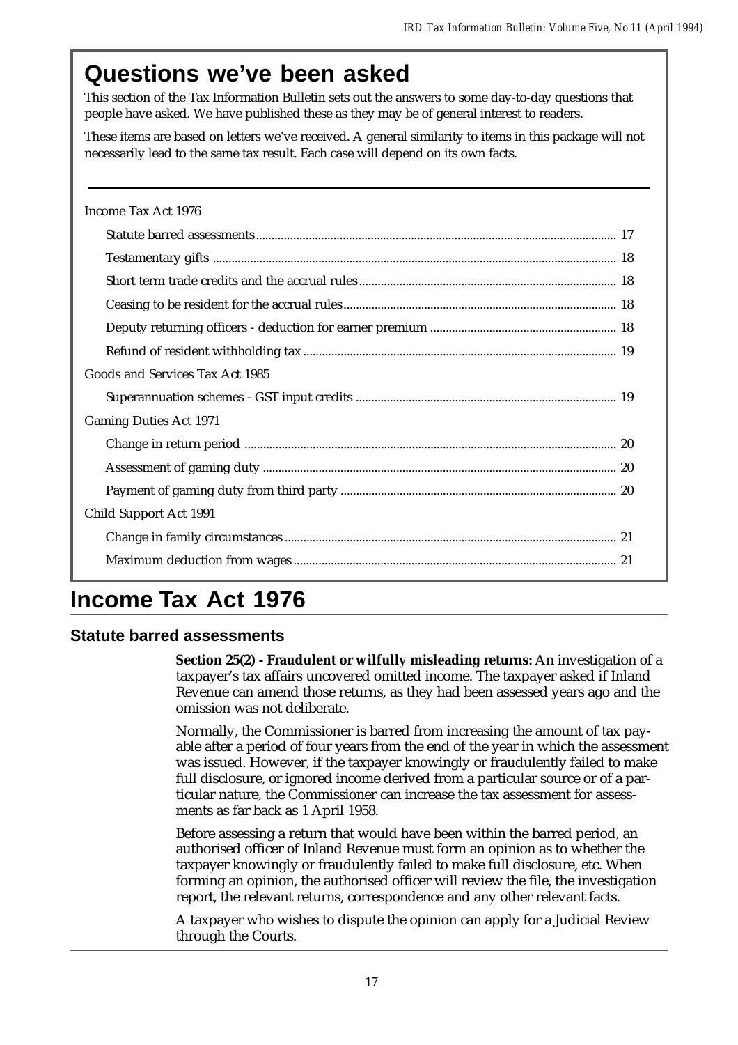# **Questions we've been asked**

This section of the Tax Information Bulletin sets out the answers to some day-to-day questions that people have asked. We have published these as they may be of general interest to readers.

These items are based on letters we've received. A general similarity to items in this package will not necessarily lead to the same tax result. Each case will depend on its own facts.

| Income Tax Act 1976             |
|---------------------------------|
|                                 |
|                                 |
|                                 |
|                                 |
|                                 |
|                                 |
| Goods and Services Tax Act 1985 |
|                                 |
| <b>Gaming Duties Act 1971</b>   |
|                                 |
|                                 |
|                                 |
| Child Support Act 1991          |
|                                 |
|                                 |

# **Income Tax Act 1976**

## **Statute barred assessments**

**Section 25(2) - Fraudulent or wilfully misleading returns:** An investigation of a taxpayer's tax affairs uncovered omitted income. The taxpayer asked if Inland Revenue can amend those returns, as they had been assessed years ago and the omission was not deliberate.

Normally, the Commissioner is barred from increasing the amount of tax payable after a period of four years from the end of the year in which the assessment was issued. However, if the taxpayer knowingly or fraudulently failed to make full disclosure, or ignored income derived from a particular source or of a particular nature, the Commissioner can increase the tax assessment for assessments as far back as 1 April 1958.

Before assessing a return that would have been within the barred period, an authorised officer of Inland Revenue must form an opinion as to whether the taxpayer knowingly or fraudulently failed to make full disclosure, etc. When forming an opinion, the authorised officer will review the file, the investigation report, the relevant returns, correspondence and any other relevant facts.

A taxpayer who wishes to dispute the opinion can apply for a Judicial Review through the Courts.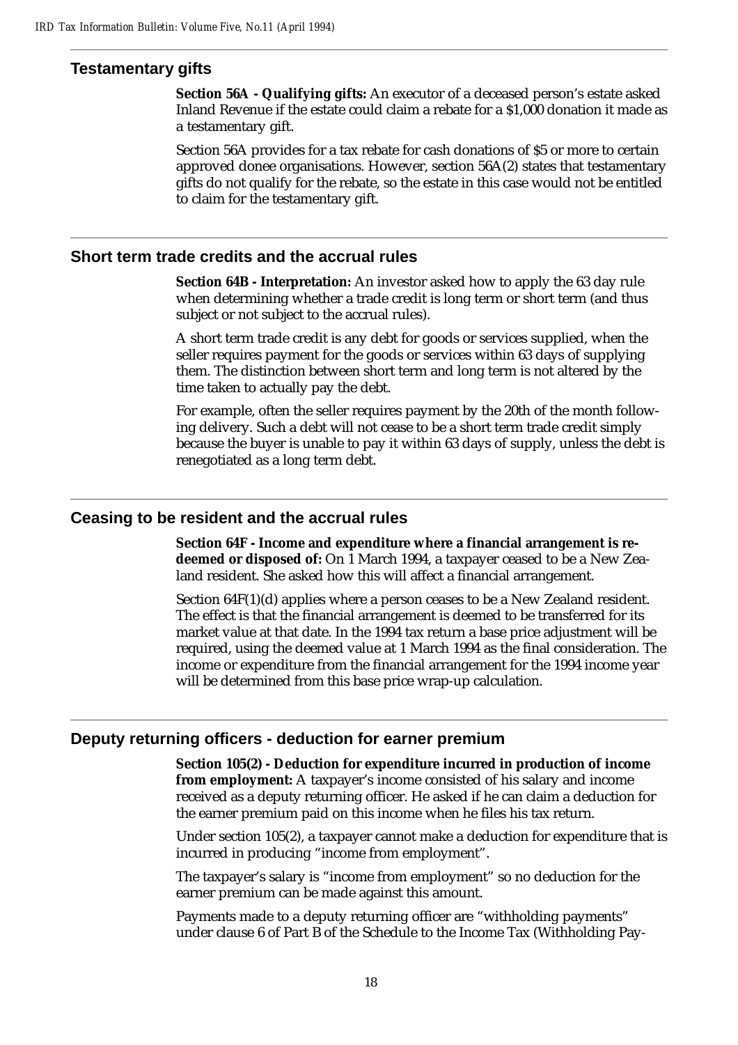### **Testamentary gifts**

**Section 56A - Qualifying gifts:** An executor of a deceased person's estate asked Inland Revenue if the estate could claim a rebate for a \$1,000 donation it made as a testamentary gift.

Section 56A provides for a tax rebate for cash donations of \$5 or more to certain approved donee organisations. However, section 56A(2) states that testamentary gifts do not qualify for the rebate, so the estate in this case would not be entitled to claim for the testamentary gift.

#### **Short term trade credits and the accrual rules**

**Section 64B - Interpretation:** An investor asked how to apply the 63 day rule when determining whether a trade credit is long term or short term (and thus subject or not subject to the accrual rules).

A short term trade credit is any debt for goods or services supplied, when the seller requires payment for the goods or services within 63 days of supplying them. The distinction between short term and long term is not altered by the time taken to actually pay the debt.

For example, often the seller requires payment by the 20th of the month following delivery. Such a debt will not cease to be a short term trade credit simply because the buyer is unable to pay it within 63 days of supply, unless the debt is renegotiated as a long term debt.

#### **Ceasing to be resident and the accrual rules**

**Section 64F - Income and expenditure where a financial arrangement is re**deemed or disposed of: On 1 March 1994, a taxpayer ceased to be a New Zealand resident. She asked how this will affect a financial arrangement.

Section 64F(1)(d) applies where a person ceases to be a New Zealand resident. The effect is that the financial arrangement is deemed to be transferred for its market value at that date. In the 1994 tax return a base price adjustment will be required, using the deemed value at 1 March 1994 as the final consideration. The income or expenditure from the financial arrangement for the 1994 income year will be determined from this base price wrap-up calculation.

#### **Deputy returning officers - deduction for earner premium**

**Section 105(2) - Deduction for expenditure incurred in production of income from employment:** A taxpayer's income consisted of his salary and income received as a deputy returning officer. He asked if he can claim a deduction for the earner premium paid on this income when he files his tax return.

Under section 105(2), a taxpayer cannot make a deduction for expenditure that is incurred in producing "income from employment".

The taxpayer's salary is "income from employment" so no deduction for the earner premium can be made against this amount.

Payments made to a deputy returning officer are "withholding payments" under clause 6 of Part B of the Schedule to the Income Tax (Withholding Pay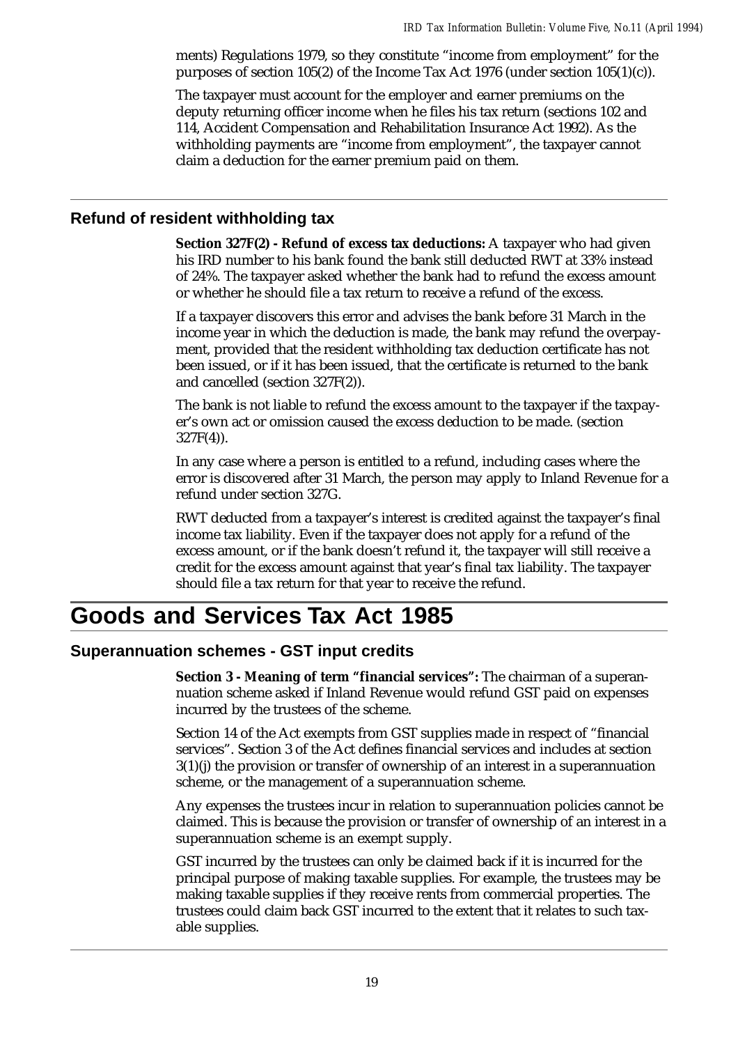ments) Regulations 1979, so they constitute "income from employment" for the purposes of section 105(2) of the Income Tax Act 1976 (under section 105(1)(c)).

The taxpayer must account for the employer and earner premiums on the deputy returning officer income when he files his tax return (sections 102 and 114, Accident Compensation and Rehabilitation Insurance Act 1992). As the withholding payments are "income from employment", the taxpayer cannot claim a deduction for the earner premium paid on them.

### **Refund of resident withholding tax**

**Section 327F(2) - Refund of excess tax deductions:** A taxpayer who had given his IRD number to his bank found the bank still deducted RWT at 33% instead of 24%. The taxpayer asked whether the bank had to refund the excess amount or whether he should file a tax return to receive a refund of the excess.

If a taxpayer discovers this error and advises the bank before 31 March in the income year in which the deduction is made, the bank may refund the overpayment, provided that the resident withholding tax deduction certificate has not been issued, or if it has been issued, that the certificate is returned to the bank and cancelled (section 327F(2)).

The bank is not liable to refund the excess amount to the taxpayer if the taxpayer's own act or omission caused the excess deduction to be made. (section 327F(4)).

In any case where a person is entitled to a refund, including cases where the error is discovered after 31 March, the person may apply to Inland Revenue for a refund under section 327G.

RWT deducted from a taxpayer's interest is credited against the taxpayer's final income tax liability. Even if the taxpayer does not apply for a refund of the excess amount, or if the bank doesn't refund it, the taxpayer will still receive a credit for the excess amount against that year's final tax liability. The taxpayer should file a tax return for that year to receive the refund.

# **Goods and Services Tax Act 1985**

## **Superannuation schemes - GST input credits**

**Section 3 - Meaning of term "financial services":** The chairman of a superannuation scheme asked if Inland Revenue would refund GST paid on expenses incurred by the trustees of the scheme.

Section 14 of the Act exempts from GST supplies made in respect of "financial services". Section 3 of the Act defines financial services and includes at section 3(1)(j) the provision or transfer of ownership of an interest in a superannuation scheme, or the management of a superannuation scheme.

Any expenses the trustees incur in relation to superannuation policies cannot be claimed. This is because the provision or transfer of ownership of an interest in a superannuation scheme is an exempt supply.

GST incurred by the trustees can only be claimed back if it is incurred for the principal purpose of making taxable supplies. For example, the trustees may be making taxable supplies if they receive rents from commercial properties. The trustees could claim back GST incurred to the extent that it relates to such taxable supplies.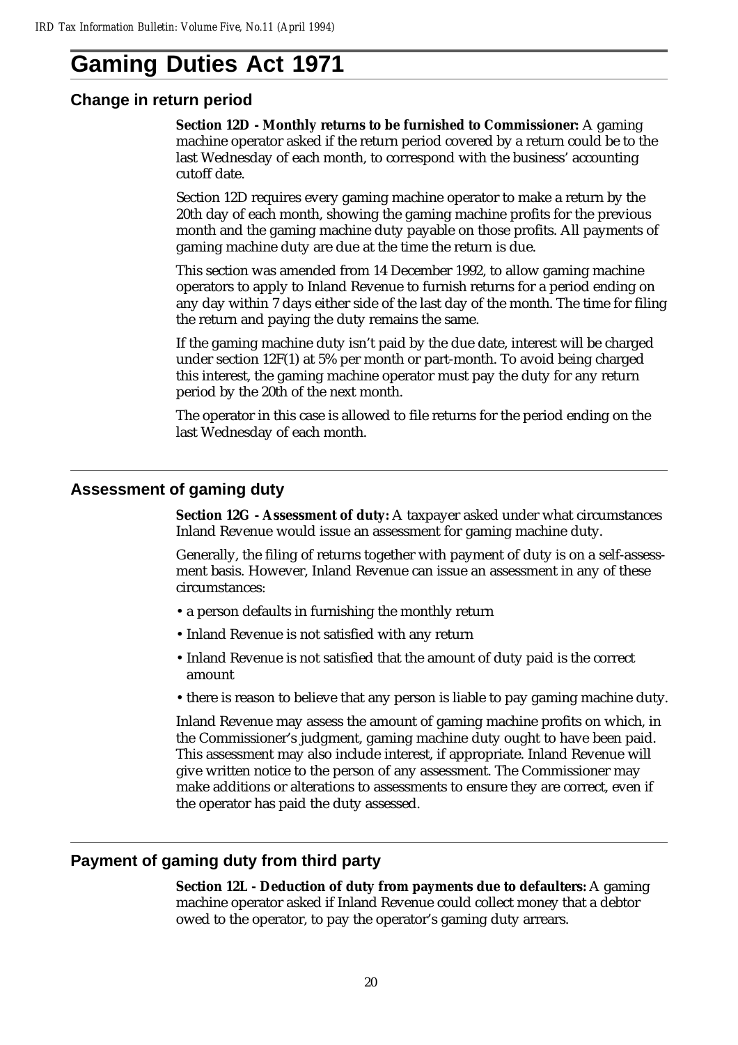# **Gaming Duties Act 1971**

#### **Change in return period**

**Section 12D - Monthly returns to be furnished to Commissioner:** A gaming machine operator asked if the return period covered by a return could be to the last Wednesday of each month, to correspond with the business' accounting cutoff date.

Section 12D requires every gaming machine operator to make a return by the 20th day of each month, showing the gaming machine profits for the previous month and the gaming machine duty payable on those profits. All payments of gaming machine duty are due at the time the return is due.

This section was amended from 14 December 1992, to allow gaming machine operators to apply to Inland Revenue to furnish returns for a period ending on any day within 7 days either side of the last day of the month. The time for filing the return and paying the duty remains the same.

If the gaming machine duty isn't paid by the due date, interest will be charged under section 12F(1) at 5% per month or part-month. To avoid being charged this interest, the gaming machine operator must pay the duty for any return period by the 20th of the next month.

The operator in this case is allowed to file returns for the period ending on the last Wednesday of each month.

#### **Assessment of gaming duty**

**Section 12G - Assessment of duty:** A taxpayer asked under what circumstances Inland Revenue would issue an assessment for gaming machine duty.

Generally, the filing of returns together with payment of duty is on a self-assessment basis. However, Inland Revenue can issue an assessment in any of these circumstances:

- a person defaults in furnishing the monthly return
- Inland Revenue is not satisfied with any return
- Inland Revenue is not satisfied that the amount of duty paid is the correct amount
- there is reason to believe that any person is liable to pay gaming machine duty.

Inland Revenue may assess the amount of gaming machine profits on which, in the Commissioner's judgment, gaming machine duty ought to have been paid. This assessment may also include interest, if appropriate. Inland Revenue will give written notice to the person of any assessment. The Commissioner may make additions or alterations to assessments to ensure they are correct, even if the operator has paid the duty assessed.

#### **Payment of gaming duty from third party**

**Section 12L - Deduction of duty from payments due to defaulters:** A gaming machine operator asked if Inland Revenue could collect money that a debtor owed to the operator, to pay the operator's gaming duty arrears.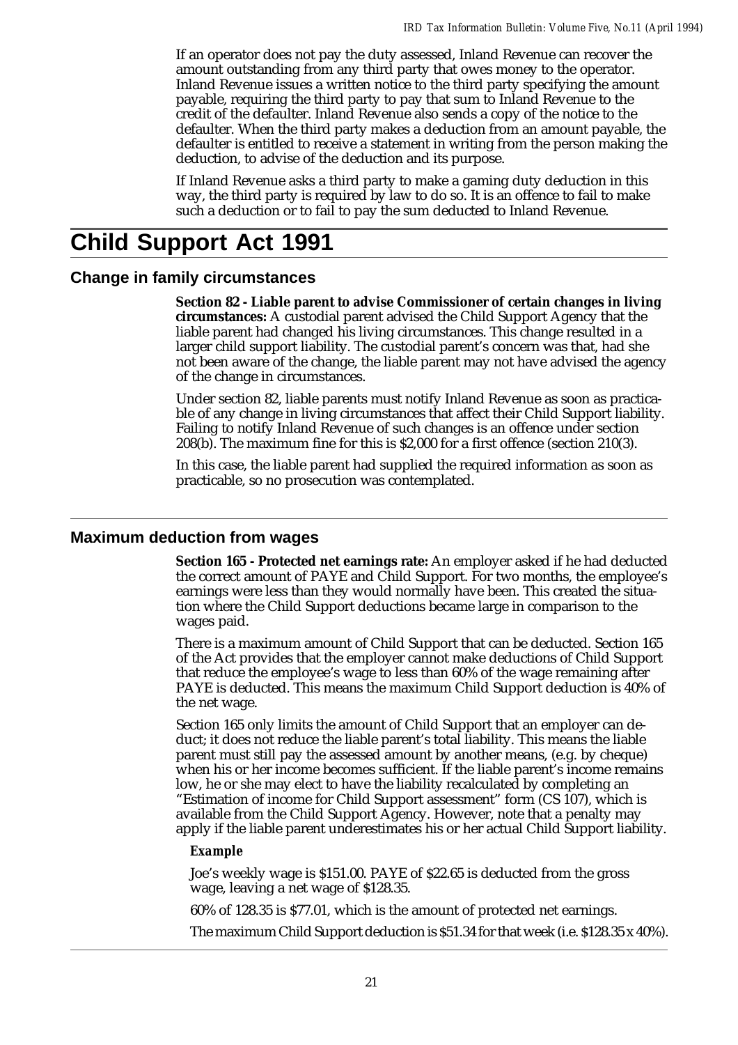If an operator does not pay the duty assessed, Inland Revenue can recover the amount outstanding from any third party that owes money to the operator. Inland Revenue issues a written notice to the third party specifying the amount payable, requiring the third party to pay that sum to Inland Revenue to the credit of the defaulter. Inland Revenue also sends a copy of the notice to the defaulter. When the third party makes a deduction from an amount payable, the defaulter is entitled to receive a statement in writing from the person making the deduction, to advise of the deduction and its purpose.

If Inland Revenue asks a third party to make a gaming duty deduction in this way, the third party is required by law to do so. It is an offence to fail to make such a deduction or to fail to pay the sum deducted to Inland Revenue.

# **Child Support Act 1991**

#### **Change in family circumstances**

**Section 82 - Liable parent to advise Commissioner of certain changes in living circumstances:** A custodial parent advised the Child Support Agency that the liable parent had changed his living circumstances. This change resulted in a larger child support liability. The custodial parent's concern was that, had she not been aware of the change, the liable parent may not have advised the agency of the change in circumstances.

Under section 82, liable parents must notify Inland Revenue as soon as practicable of any change in living circumstances that affect their Child Support liability. Failing to notify Inland Revenue of such changes is an offence under section 208(b). The maximum fine for this is \$2,000 for a first offence (section 210(3).

In this case, the liable parent had supplied the required information as soon as practicable, so no prosecution was contemplated.

#### **Maximum deduction from wages**

**Section 165 - Protected net earnings rate:** An employer asked if he had deducted the correct amount of PAYE and Child Support. For two months, the employee's earnings were less than they would normally have been. This created the situation where the Child Support deductions became large in comparison to the wages paid.

There is a maximum amount of Child Support that can be deducted. Section 165 of the Act provides that the employer cannot make deductions of Child Support that reduce the employee's wage to less than 60% of the wage remaining after PAYE is deducted. This means the maximum Child Support deduction is 40% of the net wage.

Section 165 only limits the amount of Child Support that an employer can deduct; it does not reduce the liable parent's total liability. This means the liable parent must still pay the assessed amount by another means, (e.g. by cheque) when his or her income becomes sufficient. If the liable parent's income remains low, he or she may elect to have the liability recalculated by completing an "Estimation of income for Child Support assessment" form (CS 107), which is available from the Child Support Agency. However, note that a penalty may apply if the liable parent underestimates his or her actual Child Support liability.

#### *Example*

Joe's weekly wage is \$151.00. PAYE of \$22.65 is deducted from the gross wage, leaving a net wage of \$128.35.

60% of 128.35 is \$77.01, which is the amount of protected net earnings.

The maximum Child Support deduction is \$51.34 for that week (i.e. \$128.35 x 40%).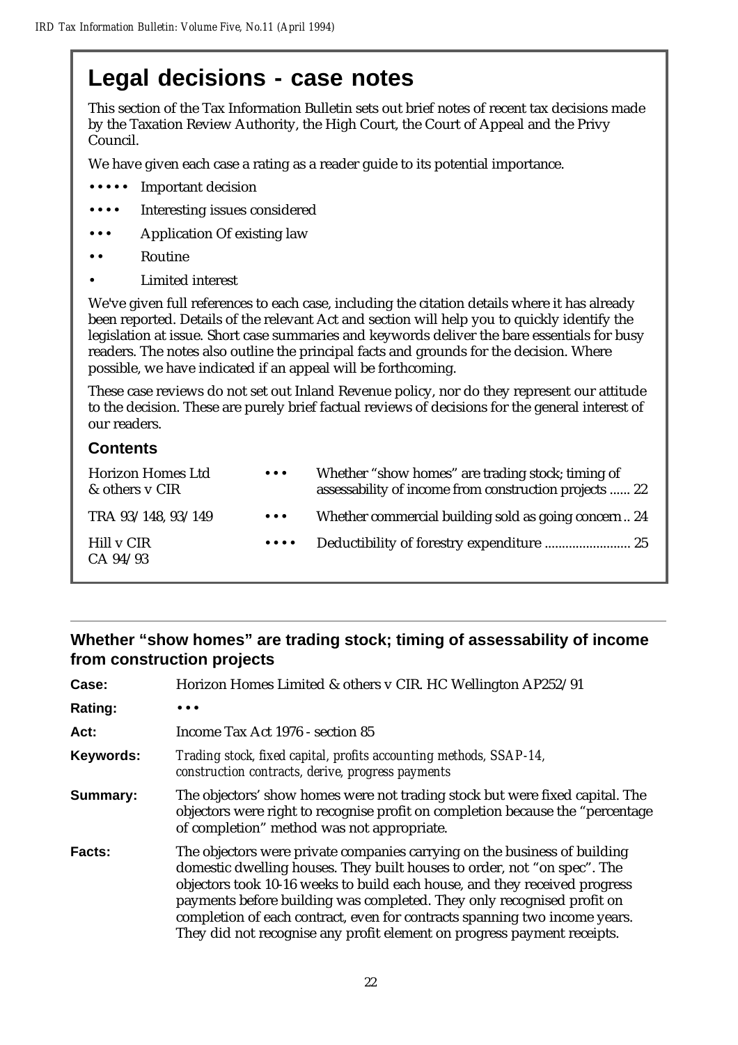# **Legal decisions - case notes**

This section of the Tax Information Bulletin sets out brief notes of recent tax decisions made by the Taxation Review Authority, the High Court, the Court of Appeal and the Privy Council.

We have given each case a rating as a reader guide to its potential importance.

- ••••• Important decision
- Interesting issues considered
- Application Of existing law
- **Routine** 
	- Limited interest

We've given full references to each case, including the citation details where it has already been reported. Details of the relevant Act and section will help you to quickly identify the legislation at issue. Short case summaries and keywords deliver the bare essentials for busy readers. The notes also outline the principal facts and grounds for the decision. Where possible, we have indicated if an appeal will be forthcoming.

These case reviews do not set out Inland Revenue policy, nor do they represent our attitude to the decision. These are purely brief factual reviews of decisions for the general interest of our readers.

## **Contents**

| <b>Horizon Homes Ltd</b><br>& others y CIR | $\bullet\hspace{0.1cm} \bullet\hspace{0.1cm}\bullet\hspace{0.1cm}\bullet$                     | Whether "show homes" are trading stock; timing of<br>assessability of income from construction projects  22 |
|--------------------------------------------|-----------------------------------------------------------------------------------------------|-------------------------------------------------------------------------------------------------------------|
| TRA 93/148, 93/149                         | $\bullet\hspace{0.1cm} \bullet\hspace{0.1cm}\bullet\hspace{0.1cm}\bullet$                     | Whether commercial building sold as going concern24                                                         |
| Hill v CIR<br>CA 94/93                     | $\bullet\hspace{0.4mm}\bullet\hspace{0.4mm}\bullet\hspace{0.4mm}\bullet\hspace{0.4mm}\bullet$ |                                                                                                             |

## **Whether "show homes" are trading stock; timing of assessability of income from construction projects**

| Case:          | Horizon Homes Limited & others v CIR. HC Wellington AP252/91                                                                                                                                                                                                                                                                                                                                                                                                           |
|----------------|------------------------------------------------------------------------------------------------------------------------------------------------------------------------------------------------------------------------------------------------------------------------------------------------------------------------------------------------------------------------------------------------------------------------------------------------------------------------|
| <b>Rating:</b> |                                                                                                                                                                                                                                                                                                                                                                                                                                                                        |
| Act:           | Income Tax Act 1976 - section 85                                                                                                                                                                                                                                                                                                                                                                                                                                       |
| Keywords:      | Trading stock, fixed capital, profits accounting methods, SSAP-14,<br>construction contracts, derive, progress payments                                                                                                                                                                                                                                                                                                                                                |
| Summary:       | The objectors' show homes were not trading stock but were fixed capital. The<br>objectors were right to recognise profit on completion because the "percentage<br>of completion" method was not appropriate.                                                                                                                                                                                                                                                           |
| Facts:         | The objectors were private companies carrying on the business of building<br>domestic dwelling houses. They built houses to order, not "on spec". The<br>objectors took 10-16 weeks to build each house, and they received progress<br>payments before building was completed. They only recognised profit on<br>completion of each contract, even for contracts spanning two income years.<br>They did not recognise any profit element on progress payment receipts. |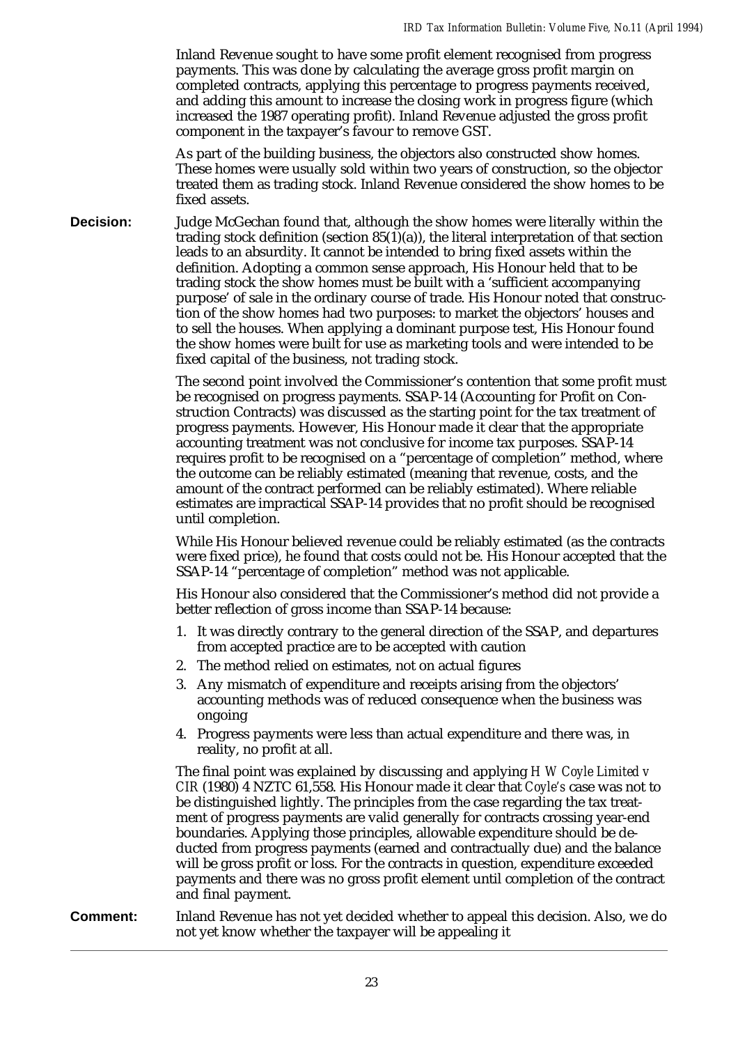Inland Revenue sought to have some profit element recognised from progress payments. This was done by calculating the average gross profit margin on completed contracts, applying this percentage to progress payments received, and adding this amount to increase the closing work in progress figure (which increased the 1987 operating profit). Inland Revenue adjusted the gross profit component in the taxpayer's favour to remove GST.

As part of the building business, the objectors also constructed show homes. These homes were usually sold within two years of construction, so the objector treated them as trading stock. Inland Revenue considered the show homes to be fixed assets.

**Decision:** Judge McGechan found that, although the show homes were literally within the trading stock definition (section  $85(1)(a)$ ), the literal interpretation of that section leads to an absurdity. It cannot be intended to bring fixed assets within the definition. Adopting a common sense approach, His Honour held that to be trading stock the show homes must be built with a 'sufficient accompanying purpose' of sale in the ordinary course of trade. His Honour noted that construction of the show homes had two purposes: to market the objectors' houses and to sell the houses. When applying a dominant purpose test, His Honour found the show homes were built for use as marketing tools and were intended to be fixed capital of the business, not trading stock.

> The second point involved the Commissioner's contention that some profit must be recognised on progress payments. SSAP-14 (Accounting for Profit on Construction Contracts) was discussed as the starting point for the tax treatment of progress payments. However, His Honour made it clear that the appropriate accounting treatment was not conclusive for income tax purposes. SSAP-14 requires profit to be recognised on a "percentage of completion" method, where the outcome can be reliably estimated (meaning that revenue, costs, and the amount of the contract performed can be reliably estimated). Where reliable estimates are impractical SSAP-14 provides that no profit should be recognised until completion.

> While His Honour believed revenue could be reliably estimated (as the contracts were fixed price), he found that costs could not be. His Honour accepted that the SSAP-14 "percentage of completion" method was not applicable.

His Honour also considered that the Commissioner's method did not provide a better reflection of gross income than SSAP-14 because:

- 1. It was directly contrary to the general direction of the SSAP, and departures from accepted practice are to be accepted with caution
- 2. The method relied on estimates, not on actual figures
- 3. Any mismatch of expenditure and receipts arising from the objectors' accounting methods was of reduced consequence when the business was ongoing
- 4. Progress payments were less than actual expenditure and there was, in reality, no profit at all.

The final point was explained by discussing and applying *H W Coyle Limited v CIR* (1980) 4 NZTC 61,558. His Honour made it clear that *Coyle's* case was not to be distinguished lightly. The principles from the case regarding the tax treatment of progress payments are valid generally for contracts crossing year-end boundaries. Applying those principles, allowable expenditure should be deducted from progress payments (earned and contractually due) and the balance will be gross profit or loss. For the contracts in question, expenditure exceeded payments and there was no gross profit element until completion of the contract and final payment.

**Comment:** Inland Revenue has not yet decided whether to appeal this decision. Also, we do not yet know whether the taxpayer will be appealing it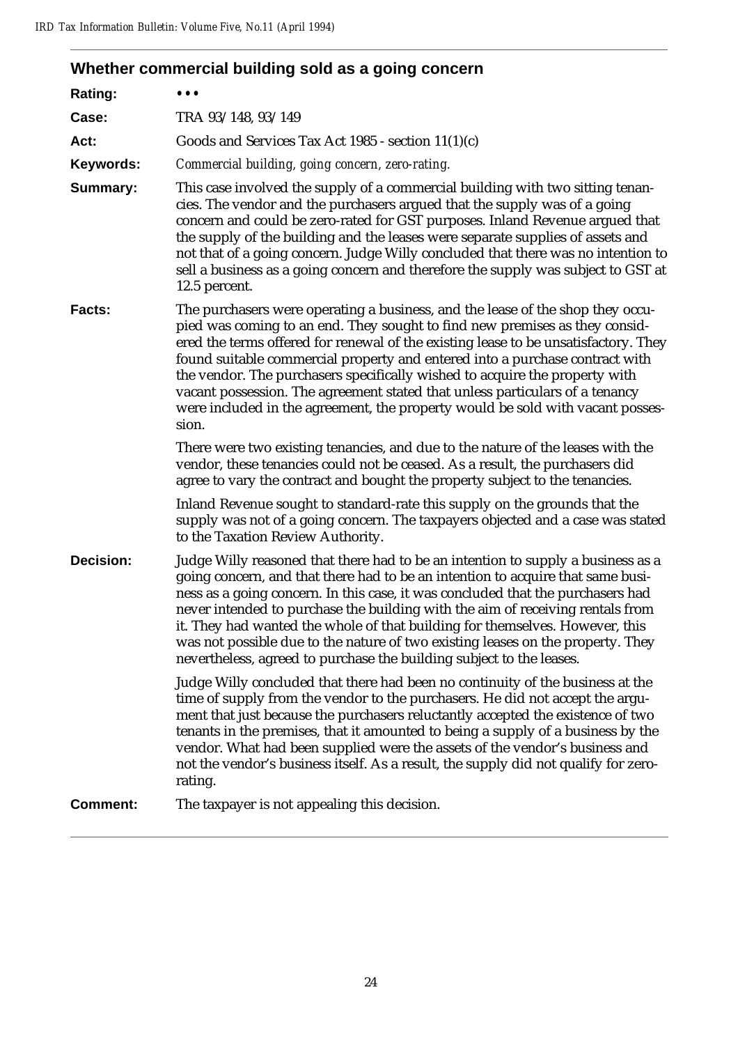# **Whether commercial building sold as a going concern**

| Rating:          | $\bullet\bullet\bullet$                                                                                                                                                                                                                                                                                                                                                                                                                                                                                                                                                                        |
|------------------|------------------------------------------------------------------------------------------------------------------------------------------------------------------------------------------------------------------------------------------------------------------------------------------------------------------------------------------------------------------------------------------------------------------------------------------------------------------------------------------------------------------------------------------------------------------------------------------------|
| Case:            | TRA 93/148, 93/149                                                                                                                                                                                                                                                                                                                                                                                                                                                                                                                                                                             |
| Act:             | Goods and Services Tax Act 1985 - section $11(1)(c)$                                                                                                                                                                                                                                                                                                                                                                                                                                                                                                                                           |
| Keywords:        | Commercial building, going concern, zero-rating.                                                                                                                                                                                                                                                                                                                                                                                                                                                                                                                                               |
| <b>Summary:</b>  | This case involved the supply of a commercial building with two sitting tenan-<br>cies. The vendor and the purchasers argued that the supply was of a going<br>concern and could be zero-rated for GST purposes. Inland Revenue argued that<br>the supply of the building and the leases were separate supplies of assets and<br>not that of a going concern. Judge Willy concluded that there was no intention to<br>sell a business as a going concern and therefore the supply was subject to GST at<br>12.5 percent.                                                                       |
| Facts:           | The purchasers were operating a business, and the lease of the shop they occu-<br>pied was coming to an end. They sought to find new premises as they consid-<br>ered the terms offered for renewal of the existing lease to be unsatisfactory. They<br>found suitable commercial property and entered into a purchase contract with<br>the vendor. The purchasers specifically wished to acquire the property with<br>vacant possession. The agreement stated that unless particulars of a tenancy<br>were included in the agreement, the property would be sold with vacant posses-<br>sion. |
|                  | There were two existing tenancies, and due to the nature of the leases with the<br>vendor, these tenancies could not be ceased. As a result, the purchasers did<br>agree to vary the contract and bought the property subject to the tenancies.                                                                                                                                                                                                                                                                                                                                                |
|                  | Inland Revenue sought to standard-rate this supply on the grounds that the<br>supply was not of a going concern. The taxpayers objected and a case was stated<br>to the Taxation Review Authority.                                                                                                                                                                                                                                                                                                                                                                                             |
| <b>Decision:</b> | Judge Willy reasoned that there had to be an intention to supply a business as a<br>going concern, and that there had to be an intention to acquire that same busi-<br>ness as a going concern. In this case, it was concluded that the purchasers had<br>never intended to purchase the building with the aim of receiving rentals from<br>it. They had wanted the whole of that building for themselves. However, this<br>was not possible due to the nature of two existing leases on the property. They<br>nevertheless, agreed to purchase the building subject to the leases.            |
|                  | Judge Willy concluded that there had been no continuity of the business at the<br>time of supply from the vendor to the purchasers. He did not accept the argu-<br>ment that just because the purchasers reluctantly accepted the existence of two<br>tenants in the premises, that it amounted to being a supply of a business by the<br>vendor. What had been supplied were the assets of the vendor's business and<br>not the vendor's business itself. As a result, the supply did not qualify for zero-<br>rating.                                                                        |
| <b>Comment:</b>  | The taxpayer is not appealing this decision.                                                                                                                                                                                                                                                                                                                                                                                                                                                                                                                                                   |
|                  |                                                                                                                                                                                                                                                                                                                                                                                                                                                                                                                                                                                                |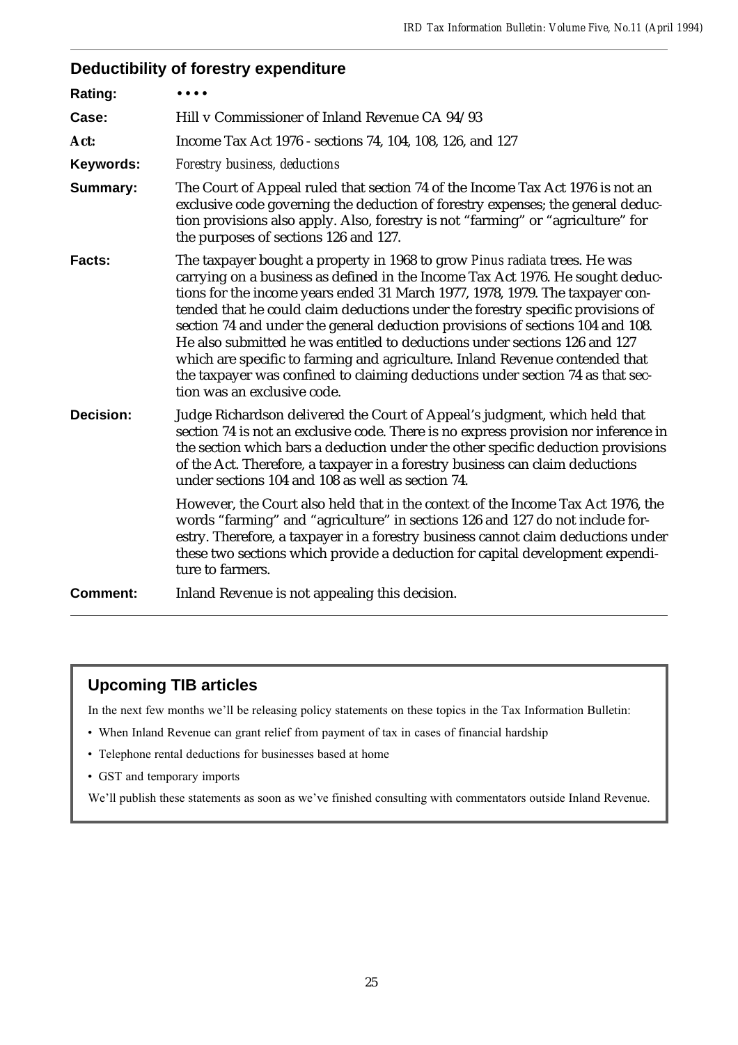# **Deductibility of forestry expenditure**

| Rating:          |                                                                                                                                                                                                                                                                                                                                                                                                                                                                                                                                                                                                                                                                                                   |
|------------------|---------------------------------------------------------------------------------------------------------------------------------------------------------------------------------------------------------------------------------------------------------------------------------------------------------------------------------------------------------------------------------------------------------------------------------------------------------------------------------------------------------------------------------------------------------------------------------------------------------------------------------------------------------------------------------------------------|
| Case:            | Hill v Commissioner of Inland Revenue CA 94/93                                                                                                                                                                                                                                                                                                                                                                                                                                                                                                                                                                                                                                                    |
| Act:             | Income Tax Act 1976 - sections 74, 104, 108, 126, and 127                                                                                                                                                                                                                                                                                                                                                                                                                                                                                                                                                                                                                                         |
| Keywords:        | Forestry business, deductions                                                                                                                                                                                                                                                                                                                                                                                                                                                                                                                                                                                                                                                                     |
| <b>Summary:</b>  | The Court of Appeal ruled that section 74 of the Income Tax Act 1976 is not an<br>exclusive code governing the deduction of forestry expenses; the general deduc-<br>tion provisions also apply. Also, forestry is not "farming" or "agriculture" for<br>the purposes of sections 126 and 127.                                                                                                                                                                                                                                                                                                                                                                                                    |
| <b>Facts:</b>    | The taxpayer bought a property in 1968 to grow Pinus radiata trees. He was<br>carrying on a business as defined in the Income Tax Act 1976. He sought deduc-<br>tions for the income years ended 31 March 1977, 1978, 1979. The taxpayer con-<br>tended that he could claim deductions under the forestry specific provisions of<br>section 74 and under the general deduction provisions of sections 104 and 108.<br>He also submitted he was entitled to deductions under sections 126 and 127<br>which are specific to farming and agriculture. Inland Revenue contended that<br>the taxpayer was confined to claiming deductions under section 74 as that sec-<br>tion was an exclusive code. |
| <b>Decision:</b> | Judge Richardson delivered the Court of Appeal's judgment, which held that<br>section 74 is not an exclusive code. There is no express provision nor inference in<br>the section which bars a deduction under the other specific deduction provisions<br>of the Act. Therefore, a taxpayer in a forestry business can claim deductions<br>under sections 104 and 108 as well as section 74.<br>However, the Court also held that in the context of the Income Tax Act 1976, the<br>words "farming" and "agriculture" in sections 126 and 127 do not include for-                                                                                                                                  |
|                  | estry. Therefore, a taxpayer in a forestry business cannot claim deductions under<br>these two sections which provide a deduction for capital development expendi-<br>ture to farmers.                                                                                                                                                                                                                                                                                                                                                                                                                                                                                                            |
| <b>Comment:</b>  | Inland Revenue is not appealing this decision.                                                                                                                                                                                                                                                                                                                                                                                                                                                                                                                                                                                                                                                    |

# **Upcoming TIB articles**

In the next few months we'll be releasing policy statements on these topics in the Tax Information Bulletin:

- When Inland Revenue can grant relief from payment of tax in cases of financial hardship
- Telephone rental deductions for businesses based at home
- GST and temporary imports

We'll publish these statements as soon as we've finished consulting with commentators outside Inland Revenue.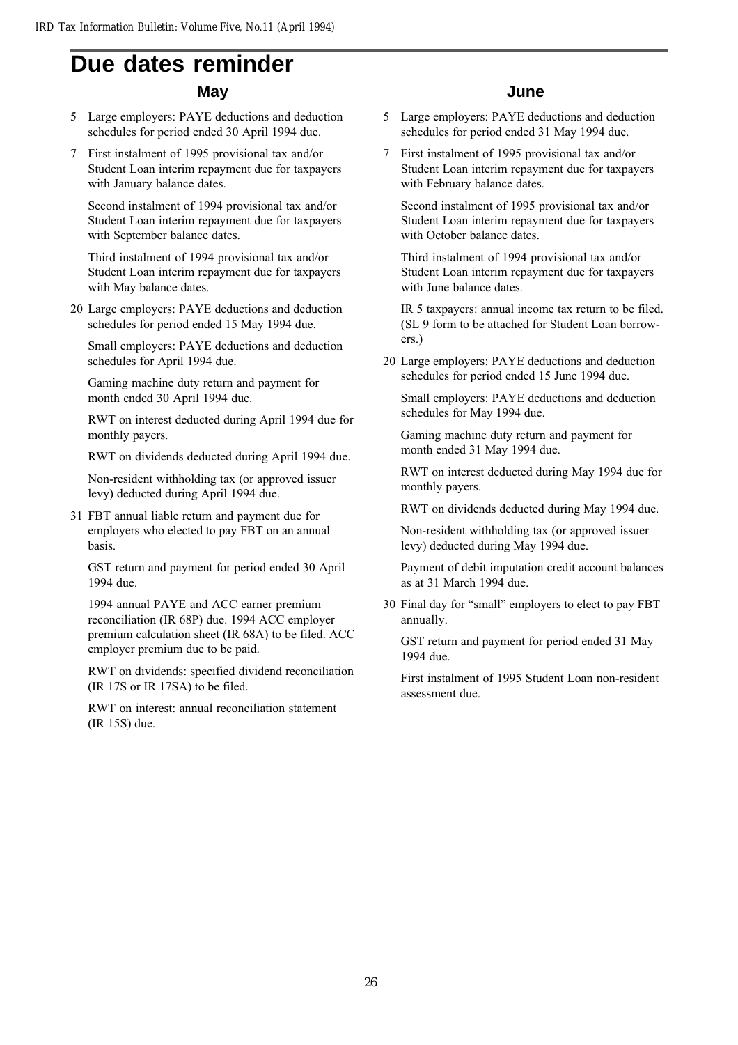# **Due dates reminder**

#### **May**

- 5 Large employers: PAYE deductions and deduction schedules for period ended 30 April 1994 due.
- 7 First instalment of 1995 provisional tax and/or Student Loan interim repayment due for taxpayers with January balance dates.

Second instalment of 1994 provisional tax and/or Student Loan interim repayment due for taxpayers with September balance dates.

Third instalment of 1994 provisional tax and/or Student Loan interim repayment due for taxpayers with May balance dates.

20 Large employers: PAYE deductions and deduction schedules for period ended 15 May 1994 due.

Small employers: PAYE deductions and deduction schedules for April 1994 due.

Gaming machine duty return and payment for month ended 30 April 1994 due.

RWT on interest deducted during April 1994 due for monthly payers.

RWT on dividends deducted during April 1994 due.

Non-resident withholding tax (or approved issuer levy) deducted during April 1994 due.

31 FBT annual liable return and payment due for employers who elected to pay FBT on an annual basis.

GST return and payment for period ended 30 April 1994 due.

1994 annual PAYE and ACC earner premium reconciliation (IR 68P) due. 1994 ACC employer premium calculation sheet (IR 68A) to be filed. ACC employer premium due to be paid.

RWT on dividends: specified dividend reconciliation (IR 17S or IR 17SA) to be filed.

RWT on interest: annual reconciliation statement (IR 15S) due.

#### **June**

- 5 Large employers: PAYE deductions and deduction schedules for period ended 31 May 1994 due.
- 7 First instalment of 1995 provisional tax and/or Student Loan interim repayment due for taxpayers with February balance dates.

Second instalment of 1995 provisional tax and/or Student Loan interim repayment due for taxpayers with October balance dates.

Third instalment of 1994 provisional tax and/or Student Loan interim repayment due for taxpayers with June balance dates.

IR 5 taxpayers: annual income tax return to be filed. (SL 9 form to be attached for Student Loan borrowers.)

20 Large employers: PAYE deductions and deduction schedules for period ended 15 June 1994 due.

Small employers: PAYE deductions and deduction schedules for May 1994 due.

Gaming machine duty return and payment for month ended 31 May 1994 due.

RWT on interest deducted during May 1994 due for monthly payers.

RWT on dividends deducted during May 1994 due.

Non-resident withholding tax (or approved issuer levy) deducted during May 1994 due.

Payment of debit imputation credit account balances as at 31 March 1994 due.

30 Final day for "small" employers to elect to pay FBT annually.

GST return and payment for period ended 31 May 1994 due.

First instalment of 1995 Student Loan non-resident assessment due.